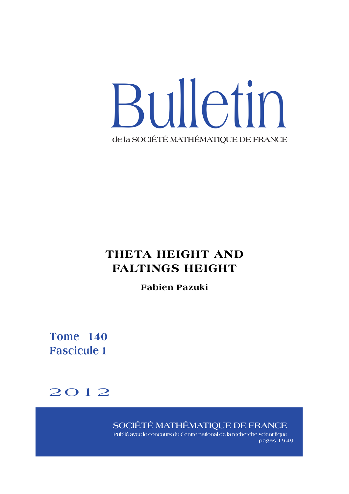

# **THETA HEIGHT AND FALTINGS HEIGHT**

# **Fabien Pazuki**

**Tome 140 Fascicule 1**

# <span id="page-0-0"></span>2012

**SOCIÉTÉ MATHÉMATIQUE DE FRANCE**

**Publié avec le concours du Centre national de la recherche scientifique pages 19-49**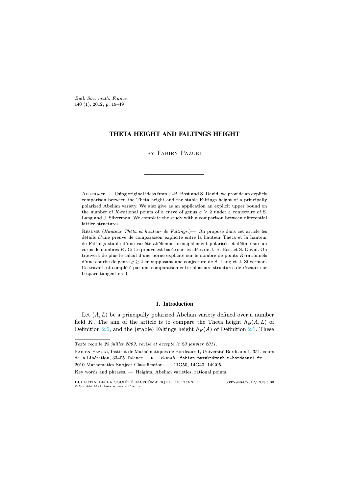*Bull. Soc. math. France* **140** (1), 2012, p. 19–49

# **THETA HEIGHT AND FALTINGS HEIGHT**

by Fabien Pazuki

Abstract. — Using original ideas from J.-B. Bost and S. David, we provide an explicit comparison between the Theta height and the stable Faltings height of a principally polarized Abelian variety. We also give as an application an explicit upper bound on the number of *K*-rational points of a curve of genus  $g \geq 2$  under a conjecture of S. Lang and J. Silverman. We complete the study with a comparison between differential lattice structures.

Résumé (*Hauteur Thêta et hauteur de Faltings.*)— On propose dans cet article les détails d'une preuve de comparaison explicite entre la hauteur Thêta et la hauteur de Faltings stable d'une variété abélienne principalement polarisée et définie sur un corps de nombres *K*. Cette preuve est basée sur les idées de J.-B. Bost et S. David. On trouvera de plus le calcul d'une borne explicite sur le nombre de points *K*-rationnels d'une courbe de genre  $g \geq 2$  en supposant une conjecture de S. Lang et J. Silverman. Ce travail est complété par une comparaison entre plusieurs structures de réseaux sur l'espace tangent en 0.

## **1. Introduction**

Let  $(A, L)$  be a principally polarized Abelian variety defined over a number field K. The aim of the article is to compare the Theta height  $h_{\Theta}(A, L)$  of Definition [2.6,](#page-0-0) and the (stable) Faltings height  $h_F(A)$  of Definition [2.1.](#page-0-0) These

*Texte reçu le 23 juillet 2009, révisé et accepté le 20 janvier 2011.*

Fabien Pazuki, Institut de Mathématiques de Bordeaux 1, Université Bordeaux 1, 351, cours de la Libération, 33405 Talence • *E-mail :* fabien.pazuki@math.u-bordeaux1.fr

<sup>2010</sup> Mathematics Subject Classification. — 11G50, 14G40, 14G05.

Key words and phrases. — Heights, Abelian varieties, rational points.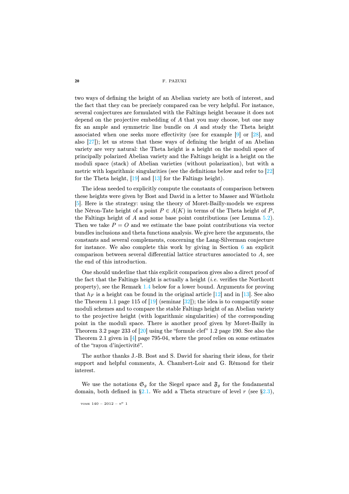two ways of defining the height of an Abelian variety are both of interest, and the fact that they can be precisely compared can be very helpful. For instance, several conjectures are formulated with the Faltings height because it does not depend on the projective embedding of  $A$  that you may choose, but one may fix an ample and symmetric line bundle on A and study the Theta height associated when one seeks more effectivity (see for example [\[9\]](#page-30-0) or [\[28\]](#page-31-0), and also [\[27\]](#page-31-1)); let us stress that these ways of defining the height of an Abelian variety are very natural: the Theta height is a height on the moduli space of principally polarized Abelian variety and the Faltings height is a height on the moduli space (stack) of Abelian varieties (without polarization), but with a metric with logarithmic singularities (see the definitions below and refer to [\[22\]](#page-30-1) for the Theta height, [\[19\]](#page-30-2) and [\[13\]](#page-30-3) for the Faltings height).

The ideas needed to explicitly compute the constants of comparison between these heights were given by Bost and David in a letter to Masser and Wüstholz [\[5\]](#page-29-0). Here is the strategy: using the theory of Moret-Bailly-models we express the Néron-Tate height of a point  $P \in A(K)$  in terms of the Theta height of P, the Faltings height of  $A$  and some base point contributions (see Lemma  $5.2$ ). Then we take  $P = O$  and we estimate the base point contributions via vector bundles inclusions and theta functions analysis. We give here the arguments, the constants and several complements, concerning the Lang-Silverman conjecture for instance. We also complete this work by giving in Section  $6$  an explicit comparison between several differential lattice structures associated to A, see the end of this introduction.

One should underline that this explicit comparison gives also a direct proof of the fact that the Faltings height is actually a height  $(i.e.$  verifies the Northcott property), see the Remark [1.4](#page-0-0) below for a lower bound. Arguments for proving that  $h_F$  is a height can be found in the original article [\[12\]](#page-30-4) and in [\[13\]](#page-30-3). See also the Theorem 1.1 page 115 of  $[19]$  (seminar  $[32]$ ); the idea is to compactify some moduli schemes and to compare the stable Faltings height of an Abelian variety to the projective height (with logarithmic singularities) of the corresponding point in the moduli space. There is another proof given by Moret-Bailly in Theorem 3.2 page 233 of  $[20]$  using the "formule clef" 1.2 page 190. See also the Theorem 2.1 given in [\[4\]](#page-29-1) page 795-04, where the proof relies on some estimates of the "rayon d'injectivité".

The author thanks J.-B. Bost and S. David for sharing their ideas, for their support and helpful comments, A. Chambert-Loir and G. Rémond for their interest.

We use the notations  $\mathfrak{S}_g$  for the Siegel space and  $\mathfrak{F}_g$  for the fondamental domain, both defined in  $\S 2.1$ . We add a Theta structure of level r (see  $\S 2.3$ ),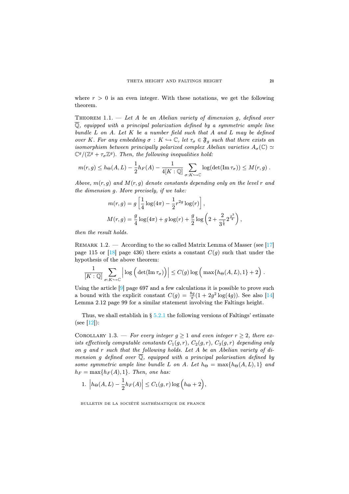where  $r > 0$  is an even integer. With these notations, we get the following theorem.

THEOREM 1.1.  $-$  Let A be an Abelian variety of dimension g, defined over  $\overline{Q}$ , equipped with a principal polarization defined by a symmetric ample line bundle  $L$  on  $A$ . Let  $K$  be a number field such that  $A$  and  $L$  may be defined over K. For any embedding  $\sigma: K \hookrightarrow \mathbb{C}$ , let  $\tau_{\sigma} \in \mathfrak{F}_g$  such that there exists an isomorphism between principally polarized complex Abelian varieties  $A_{\sigma}(\mathbb{C}) \simeq$  $\mathbb{C}^g/(\mathbb{Z}^g + \tau_\sigma \mathbb{Z}^g)$ . Then, the following inequalities hold:

$$
m(r,g) \leq h_{\Theta}(A,L) - \frac{1}{2}h_F(A) - \frac{1}{4[K:\mathbb{Q}]} \sum_{\sigma:K\hookrightarrow\mathbb{C}} \log(\det(\mathrm{Im}\,\tau_{\sigma})) \leq M(r,g) .
$$

Above,  $m(r, g)$  and  $M(r, g)$  denote constants depending only on the level r and the dimension g. More precisely, if we take:

$$
m(r,g) = g\left[\frac{1}{4}\log(4\pi) - \frac{1}{2}r^{2g}\log(r)\right],
$$
  

$$
M(r,g) = \frac{g}{4}\log(4\pi) + g\log(r) + \frac{g}{2}\log\left(2 + \frac{2}{3^{\frac{1}{4}}}2^{\frac{g^3}{4}}\right),
$$

then the result holds.

REMARK 1.2. — According to the so called Matrix Lemma of Masser (see [\[17\]](#page-30-6) page 115 or [\[18\]](#page-30-7) page 436) there exists a constant  $C(g)$  such that under the hypothesis of the above theorem:

$$
\frac{1}{[K:\mathbb{Q}]} \sum_{\sigma: K \hookrightarrow \mathbb{C}} \left| \log \left( \det(\operatorname{Im} \tau_{\sigma}) \right) \right| \leq C(g) \log \left( \max \{ h_{\Theta}(A, L), 1 \} + 2 \right).
$$

Using the article [\[9\]](#page-30-0) page 697 and a few calculations it is possible to prove such a bound with the explicit constant  $C(g) = \frac{8g}{\pi}(1 + 2g^2 \log(4g))$ . See also [\[14\]](#page-30-8) Lemma 2.12 page 99 for a similar statement involving the Faltings height.

Thus, we shall establish in  $\S 5.2.1$  $\S 5.2.1$  the following versions of Faltings' estimate  $(see [12]):$  $(see [12]):$  $(see [12]):$ 

COROLLARY 1.3. — For every integer  $q > 1$  and even integer  $r > 2$ , there exists effectively computable constants  $C_1(g, r)$ ,  $C_2(g, r)$ ,  $C_3(g, r)$  depending only on g and r such that the following holds. Let A be an Abelian variety of dimension g defined over  $\mathbb Q$ , equipped with a principal polarisation defined by some symmetric ample line bundle L on A. Let  $h_{\Theta} = \max\{h_{\Theta}(A, L), 1\}$  and  $h_F = \max\{h_F(A), 1\}$ . Then, one has:

1. 
$$
\left| h_{\Theta}(A, L) - \frac{1}{2} h_F(A) \right| \leq C_1(g, r) \log \left( h_{\Theta} + 2 \right),
$$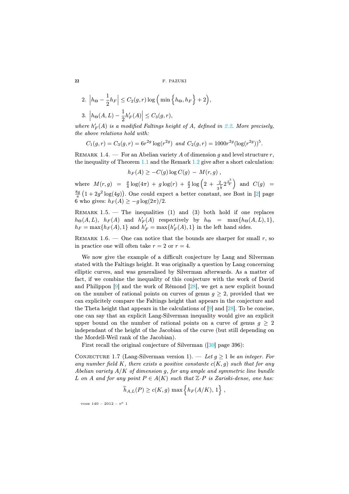2. 
$$
|h_{\Theta} - \frac{1}{2}h_F| \leq C_2(g, r) \log \left(\min\left\{h_{\Theta}, h_F\right\} + 2\right),
$$
  
3.  $|h_{\Theta}(A, L) - \frac{1}{2}h'_F(A)| \leq C_3(g, r),$ 

where  $h'_F(A)$  is a modified Faltings height of A, defined in [2.2.](#page-0-0) More precisely, the above relations hold with:

$$
C_1(g,r) = C_3(g,r) = 6r^{2g} \log(r^{2g}) \text{ and } C_2(g,r) = 1000r^{2g} (\log(r^{2g}))^5.
$$

REMARK 1.4. — For an Abelian variety A of dimension g and level structure r, the inequality of Theorem [1.1](#page-0-0) and the Remark [1.2](#page-0-0) give after a short calculation:

$$
h_F(A) \geq -C(g)\log C(g) - M(r,g) ,
$$

where  $M(r,g) = \frac{g}{4} \log(4\pi) + g \log(r) + \frac{g}{2} \log\left(2 + \frac{2}{3^{\frac{1}{4}}} 2^{\frac{g^3}{4}}\right)$  and  $C(g)$  =  $\frac{8g}{\pi}(1+2g^2\log(4g))$ . One could expect a better constant, see Bost in [\[2\]](#page-29-2) page 6 who gives:  $h_F(A) > -q \log(2\pi)/2$ .

REMARK  $1.5.$  – The inequalities  $(1)$  and  $(3)$  both hold if one replaces  $h_{\Theta}(A, L)$ ,  $h_F(A)$  and  $h'_F(A)$  respectively by  $h_{\Theta} = \max\{h_{\Theta}(A, L), 1\},\$  $h_F = \max\{h_F(A), 1\}$  and  $h'_F = \max\{h'_F(A), 1\}$  in the left hand sides.

REMARK 1.6. — One can notice that the bounds are sharper for small  $r$ , so in practice one will often take  $r = 2$  or  $r = 4$ .

We now give the example of a difficult conjecture by Lang and Silverman stated with the Faltings height. It was originally a question by Lang concerning elliptic curves, and was generalised by Silverman afterwards. As a matter of fact, if we combine the inequality of this conjecture with the work of David and Philippon [\[9\]](#page-30-0) and the work of Rémond [\[28\]](#page-31-0), we get a new explicit bound on the number of rational points on curves of genus  $q \geq 2$ , provided that we can explicitely compare the Faltings height that appears in the conjecture and the Theta height that appears in the calculations of  $[9]$  and  $[28]$ . To be concise, one can say that an explicit Lang-Silverman inequality would give an explicit upper bound on the number of rational points on a curve of genus  $g \geq 2$ independant of the height of the Jacobian of the curve (but still depending on the Mordell-Weil rank of the Jacobian).

First recall the original conjecture of Silverman ([\[30\]](#page-31-3) page 396):

CONJECTURE 1.7 (Lang-Silverman version 1). — Let  $g \geq 1$  be an integer. For any number field K, there exists a positive constante  $c(K, g)$  such that for any Abelian variety  $A/K$  of dimension g, for any ample and symmetric line bundle L on A and for any point  $P \in A(K)$  such that  $\mathbb{Z} \cdot P$  is Zariski-dense, one has:

$$
\widehat{h}_{A,L}(P) \ge c(K,g) \max \left\{ h_F(A/K), 1 \right\},\,
$$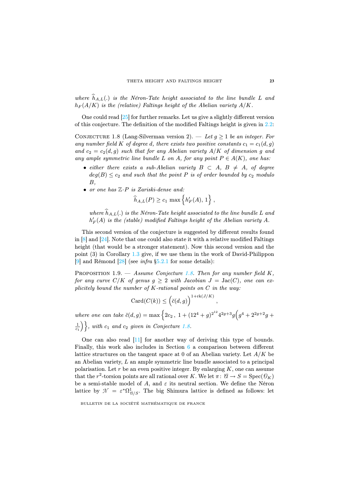where  $h_{A,L}(.)$  is the Néron-Tate height associated to the line bundle L and  $h_F(A/K)$  is the (relative) Faltings height of the Abelian variety  $A/K$ .

One could read [\[25\]](#page-31-4) for further remarks. Let us give a slightly different version of this conjecture. The definition of the modified Faltings height is given in [2.2:](#page-0-0)

CONJECTURE 1.8 (Lang-Silverman version 2). — Let  $g \geq 1$  be an integer. For any number field K of degree d, there exists two positive constants  $c_1 = c_1(d, g)$ and  $c_2 = c_2(d, g)$  such that for any Abelian variety  $A/K$  of dimension g and any ample symmetric line bundle L on A, for any point  $P \in A(K)$ , one has:

- either there exists a sub-Abelian variety  $B \subset A$ ,  $B \neq A$ , of degree  $deg(B) \leq c_2$  and such that the point P is of order bounded by  $c_2$  modulo B,
- or one has  $\mathbb{Z}\cdot P$  is Zariski-dense and:

$$
\widehat{h}_{A,L}(P) \ge c_1 \max \left\{ h'_F(A), 1 \right\},\,
$$

where  $h_{A,L}(.)$  is the Néron-Tate height associated to the line bundle L and  $h'_F(A)$  is the (stable) modified Faltings height of the Abelian variety  $A$ .

This second version of the conjecture is suggested by different results found in  $[8]$  and  $[24]$ . Note that one could also state it with a relative modified Faltings height (that would be a stronger statement). Now this second version and the point (3) in Corollary [1.3](#page-0-0) give, if we use them in the work of David-Philippon [\[9\]](#page-30-0) and Rémond [\[28\]](#page-31-0) (see *infra*  $\S5.2.1$  for some details):

PROPOSITION 1.9. — Assume Conjecture [1.8.](#page-0-0) Then for any number field  $K$ , for any curve  $C/K$  of genus  $q \geq 2$  with Jacobian  $J = \text{Jac}(C)$ , one can explicitely bound the number of  $K$ -rational points on  $C$  in the way:

$$
Card(C(k)) \leq {\left(\breve{c}(d,g)\right)^{1+\mathrm{rk}(J/K)}}
$$

,

where one can take  $\breve{c}(d,g) = \max\left\{2c_2, 1 + (12^4 + g)^{2^{12}}4^{2g+3}g(g^4 + 2^{2g+2}g + 1)\right\}$  $\left\{\frac{1}{c_1}\right\}$ , with  $c_1$  and  $c_2$  given in Conjecture [1.8.](#page-0-0)

One can also read [\[11\]](#page-30-11) for another way of deriving this type of bounds. Finally, this work also includes in Section [6](#page-25-0) a comparison between different lattice structures on the tangent space at 0 of an Abelian variety. Let  $A/K$  be an Abelian variety,  $L$  an ample symmetric line bundle associated to a principal polarisation. Let  $r$  be an even positive integer. By enlarging  $K$ , one can assume that the r<sup>2</sup>-torsion points are all rational over K. We let  $\pi: \mathcal{U} \to S = \text{Spec}(\mathcal{O}_K)$ be a semi-stable model of A, and  $\varepsilon$  its neutral section. We define the Néron lattice by  $\mathcal{N} = \varepsilon^* \Omega^1_{\mathcal{U}/S}$ . The big Shimura lattice is defined as follows: let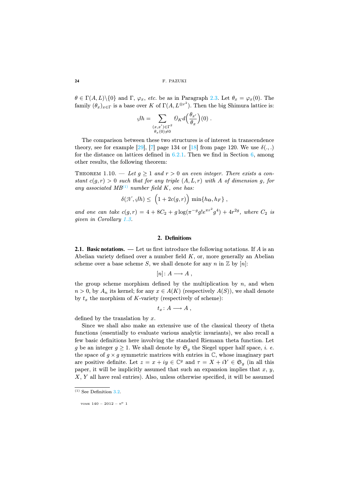$\theta \in \Gamma(A, L) \setminus \{0\}$  and  $\Gamma$ ,  $\varphi_x$ , etc. be as in Paragraph [2.3.](#page-9-0) Let  $\theta_x = \varphi_x(0)$ . The family  $(\theta_x)_{x \in \Gamma}$  is a base over K of  $\Gamma(A, L^{\otimes r^2})$ . Then the big Shimura lattice is:

$$
\mathscr{G}h = \sum_{\substack{(x,x') \in \Gamma^2 \\ \theta_x(0) \neq 0}} \mathcal{O}_K d\left(\frac{\theta_{x'}}{\theta_x}\right)(0) .
$$

The comparison between these two structures is of interest in transcendence theory, see for example [\[29\]](#page-31-5), [\[7\]](#page-30-12) page 134 or [\[18\]](#page-30-7) from page 120. We use  $\delta(.,.)$ for the distance on lattices defined in  $6.2.1$ . Then we find in Section  $6$ , among other results, the following theorem:

THEOREM 1.10. — Let  $g \geq 1$  and  $r > 0$  an even integer. There exists a constant  $c(g, r) > 0$  such that for any triple  $(A, L, r)$  with A of dimension g, for any associated  $MB^{(1)}$  $MB^{(1)}$  $MB^{(1)}$  number field K, one has:

$$
\delta(\mathcal{N}, \beta h) \leq \left(1 + 2c(g, r)\right) \min\{h_{\Theta}, h_F\},\,
$$

and one can take  $c(g,r) = 4 + 8C_2 + g \log(\pi^{-g} g! e^{\pi r^2} g^4) + 4r^{2g}$ , where  $C_2$  is given in Corollary [1.3.](#page-0-0)

### **2. Definitions**

<span id="page-6-0"></span>**2.1. Basic notations.** — Let us first introduce the following notations. If A is an Abelian variety defined over a number field  $K$ , or, more generally an Abelian scheme over a base scheme S, we shall denote for any n in  $\mathbb{Z}$  by  $[n]$ :

$$
[n]\colon A\longrightarrow A\ ,
$$

the group scheme morphism defined by the multiplication by  $n$ , and when  $n > 0$ , by  $A_n$  its kernel; for any  $x \in A(K)$  (respectively  $A(S)$ ), we shall denote by  $t_x$  the morphism of K-variety (respectively of scheme):

$$
t_x\colon A\longrightarrow A\ ,
$$

defined by the translation by  $x$ .

Since we shall also make an extensive use of the classical theory of theta functions (essentially to evaluate various analytic invariants), we also recall a few basic definitions here involving the standard Riemann theta function. Let g be an integer  $g \geq 1$ . We shall denote by  $\mathfrak{S}_g$  the Siegel upper half space, *i. e.* the space of  $g \times g$  symmetric matrices with entries in  $\mathbb{C}$ , whose imaginary part are positive definite. Let  $z = x + iy \in \mathbb{C}^g$  and  $\tau = X + iY \in \mathfrak{S}_g$  (in all this paper, it will be implicitly assumed that such an expansion implies that  $x, y$ , X, Y all have real entries). Also, unless otherwise specified, it will be assumed

<span id="page-6-1"></span> $(1)$  See Definition [3.2.](#page-0-0)

TOME  $140 - 2012 - N^{\circ}$  1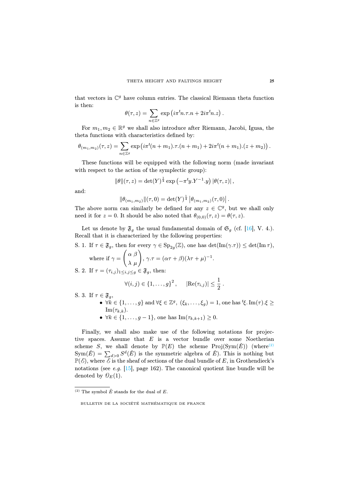that vectors in  $\mathbb{C}^g$  have column entries. The classical Riemann theta function is then:

$$
\theta(\tau,z) = \sum_{n \in \mathbb{Z}^g} \exp\left(i\pi^t n.\tau.n + 2i\pi^t n.z\right).
$$

For  $m_1, m_2 \in \mathbb{R}^g$  we shall also introduce after Riemann, Jacobi, Igusa, the theta functions with characteristics defined by:

$$
\theta_{(m_1,m_2)}(\tau,z) = \sum_{n \in \mathbb{Z}^g} \exp \left( i \pi^t (n+m_1) \cdot \tau \cdot (n+m_1) + 2i \pi^t (n+m_1) \cdot (z+m_2) \right).
$$

These functions will be equipped with the following norm (made invariant with respect to the action of the symplectic group):

$$
\|\theta\|(\tau,z) = \det(Y)^{\frac{1}{4}} \exp\left(-\pi^t y \cdot Y^{-1} \cdot y\right) |\theta(\tau,z)|,
$$

and:

$$
\|\theta_{(m_1,m_2)}\|(\tau,0)=\det(Y)^{\frac{1}{4}}\left|\theta_{(m_1,m_2)}(\tau,0)\right|.
$$

The above norm can similarly be defined for any  $z \in \mathbb{C}^g$ , but we shall only need it for  $z = 0$ . It should be also noted that  $\theta_{(0,0)}(\tau, z) = \theta(\tau, z)$ .

Let us denote by  $\mathfrak{F}_g$  the usual fundamental domain of  $\mathfrak{S}_g$  (cf. [\[16\]](#page-30-13), V. 4.). Recall that it is characterized by the following properties:

S. 1. If  $\tau \in \mathfrak{F}_q$ , then for every  $\gamma \in \text{Sp}_{2q}(\mathbb{Z})$ , one has  $\det(\text{Im}(\gamma.\tau)) \leq \det(\text{Im}\,\tau)$ , \* +

where if 
$$
\gamma = \begin{pmatrix} \alpha & \beta \\ \lambda & \mu \end{pmatrix}
$$
,  $\gamma \cdot \tau = (\alpha \tau + \beta)(\lambda \tau + \mu)^{-1}$ .

S. 2. If 
$$
\tau = (\tau_{i,j})_{1 \leq i,j \leq g} \in \mathfrak{F}_g
$$
, then:

$$
\forall (i, j) \in \{1, ..., g\}^2, \quad |\text{Re}(\tau_{i,j})| \leq \frac{1}{2}.
$$

S. 3. If  $\tau \in \mathfrak{F}_a$ ,

- $\forall k \in \{1, ..., g\}$  and  $\forall \xi \in \mathbb{Z}^g$ ,  $(\xi_k, ..., \xi_g) = 1$ , one has  ${}^t \xi$ . Im $(\tau)$ . $\xi \ge$  $\text{Im}(\tau_{k,k}).$
- $\forall k \in \{1, ..., g 1\}$ , one has  $\text{Im}(\tau_{k,k+1}) \geq 0$ .

Finally, we shall also make use of the following notations for projective spaces. Assume that  $E$  is a vector bundle over some Noetherian scheme S, we shall denote by  $\mathbb{P}(E)$  the scheme Proj(Sym( $\check{E}$ )) (where<sup>[\(2\)](#page-7-0)</sup>  $\text{Sym}(\check{E}) = \sum_{d>0} S^d(\check{E})$  is the symmetric algebra of  $\check{E}$ ). This is nothing but  $\mathbb{P}(\mathcal{E})$ , where  $\mathcal{E}$  is the sheaf of sections of the dual bundle of E, in Grothendieck's notations (see e.g.  $[15]$ , page 162). The canonical quotient line bundle will be denoted by  $\mathcal{O}_E(1)$ .

<span id="page-7-0"></span> $(2)$  The symbol  $\check{E}$  stands for the dual of  $E$ .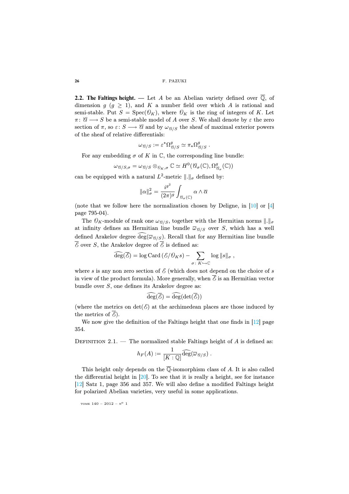<span id="page-8-0"></span>**2.2. The Faltings height.** — Let A be an Abelian variety defined over  $\overline{Q}$ , of dimension  $q$  ( $q > 1$ ), and K a number field over which A is rational and semi-stable. Put  $S = \text{Spec}(\mathcal{O}_K)$ , where  $\mathcal{O}_K$  is the ring of integers of K. Let  $\pi: \mathscr{C} \longrightarrow S$  be a semi-stable model of A over S. We shall denote by  $\varepsilon$  the zero section of  $\pi$ , so  $\varepsilon: S \longrightarrow \mathscr{C}$  and by  $\omega_{\mathscr{C}/S}$  the sheaf of maximal exterior powers of the sheaf of relative differentials:

$$
\omega_{\mathcal{A}/S} := \varepsilon^{\star}\Omega_{\mathcal{A}/S}^{g} \simeq \pi_{\star}\Omega_{\mathcal{A}/S}^{g}.
$$

For any embedding  $\sigma$  of K in C, the corresponding line bundle:

$$
\omega_{\mathcal{U}/S,\sigma} = \omega_{\mathcal{U}/S} \otimes_{\mathfrak{D}_K,\sigma} \mathbb{C} \simeq H^0(\mathcal{C}_\sigma(\mathbb{C}),\Omega^g_{\mathcal{C}_\sigma}(\mathbb{C}))
$$

can be equipped with a natural  $L^2$ -metric  $\|.\|_{\sigma}$  defined by:

$$
\|\alpha\|_{\sigma}^2 = \frac{i^{g^2}}{(2\pi)^g} \int_{\mathcal{C}_{\sigma}(\mathbb{C})} \alpha \wedge \overline{\alpha}
$$

(note that we follow here the normalization chosen by Deligne, in [\[10\]](#page-30-15) or [\[4\]](#page-29-1) page 795-04).

The  $\mathcal{O}_K$ -module of rank one  $\omega_{\mathcal{U}/S}$ , together with the Hermitian norms  $\|.\|_{\sigma}$ at infinity defines an Hermitian line bundle  $\overline{\omega}_{\theta/S}$  over S, which has a well defined Arakelov degree deg( $\overline{\omega}_{\beta/S}$ ). Recall that for any Hermitian line bundle  $\overline{\mathscr{E}}$  over S, the Arakelov degree of  $\overline{\mathscr{E}}$  is defined as:

$$
\widehat{\deg}(\overline{\mathscr{E}}) = \log \text{Card}(\mathscr{E}/\mathscr{O}_K s) - \sum_{\sigma \colon K \hookrightarrow \mathbb{C}} \log ||s||_{\sigma} ,
$$

where s is any non zero section of  $\mathcal E$  (which does not depend on the choice of s in view of the product formula). More generally, when  $\overline{\mathcal{E}}$  is an Hermitian vector bundle over S, one defines its Arakelov degree as:

$$
\widehat{\deg}(\overline{\mathscr{E}}) = \widehat{\deg}(\det(\overline{\mathscr{E}}))
$$

(where the metrics on  $\det(\mathcal{E})$  at the archimedean places are those induced by the metrics of  $\mathscr{E}$ ).

We now give the definition of the Faltings height that one finds in  $[12]$  page 354.

DEFINITION 2.1. — The normalized stable Faltings height of  $A$  is defined as:

$$
h_F(A):=\frac{1}{[K:\mathbb{Q}]} \widehat{\operatorname{deg}}(\overline{\omega}_{\mathcal{B}/S})\ .
$$

This height only depends on the  $\overline{\mathbb{Q}}$ -isomorphism class of A. It is also called the differential height in [\[20\]](#page-30-5). To see that it is really a height, see for instance [\[12\]](#page-30-4) Satz 1, page 356 and 357. We will also define a modified Faltings height for polarized Abelian varieties, very useful in some applications.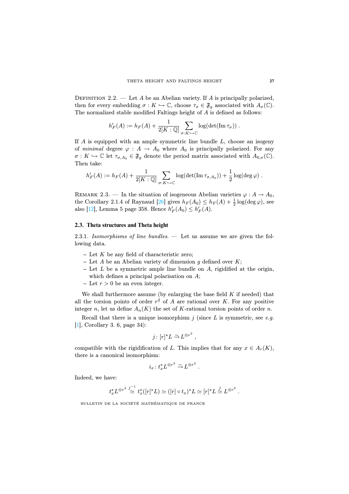DEFINITION 2.2. — Let A be an Abelian variety. If A is principally polarized, then for every embedding  $\sigma: K \hookrightarrow \mathbb{C}$ , choose  $\tau_{\sigma} \in \mathfrak{F}_g$  associated with  $A_{\sigma}(\mathbb{C})$ . The normalized stable modified Faltings height of A is defined as follows:

$$
h'_{F}(A) := h_{F}(A) + \frac{1}{2[K:\mathbb{Q}]} \sum_{\sigma: K \hookrightarrow \mathbb{C}} \log(\det(\mathrm{Im}\,\tau_{\sigma})) .
$$

If  $A$  is equipped with an ample symmetric line bundle  $L$ , choose an isogeny of minimal degree  $\varphi : A \to A_0$  where  $A_0$  is principally polarized. For any  $\sigma: K \hookrightarrow \mathbb{C}$  let  $\tau_{\sigma,A_0} \in \mathfrak{F}_g$  denote the period matrix associated with  $A_{0,\sigma}(\mathbb{C})$ . Then take:

$$
h'_F(A) := h_F(A) + \frac{1}{2[K:\mathbb{Q}]} \sum_{\sigma: K \hookrightarrow \mathbb{C}} \log(\det(\mathrm{Im}\,\tau_{\sigma,A_0})) + \frac{1}{2}\log(\deg \varphi).
$$

REMARK 2.3. — In the situation of isogeneous Abelian varieties  $\varphi : A \to A_0$ , the Corollary 2.1.4 of Raynaud [\[26\]](#page-31-6) gives  $h_F(A_0) \leq h_F(A) + \frac{1}{2} \log(\deg \varphi)$ , see also [\[12\]](#page-30-4), Lemma 5 page 358. Hence  $h'_F(A_0) \leq h'_F(A)$ .

#### <span id="page-9-0"></span>**2.3. Theta structures and Theta height**

<span id="page-9-1"></span>2.3.1. Isomorphisms of line bundles.  $-$  Let us assume we are given the following data.

- **–** Let K be any field of characteristic zero;
- **–** Let A be an Abelian variety of dimension g defined over K;
- **–** Let L be a symmetric ample line bundle on A, rigidified at the origin, which defines a principal polarisation on  $A$ ;
- $-\text{Let } r > 0 \text{ be an even integer.}$

We shall furthermore assume (by enlarging the base field  $K$  if needed) that all the torsion points of order  $r^2$  of A are rational over K. For any positive integer n, let us define  $A_n(K)$  the set of K-rational torsion points of order n.

Recall that there is a unique isomorphism  $j$  (since  $L$  is symmetric, see e.g. [\[1\]](#page-29-3), Corollary 3. 6, page 34):

$$
j\colon [r]^\star L \overset{\sim}{\to} L^{\otimes r^2} ,
$$

compatible with the rigidification of L. This implies that for any  $x \in A_r(K)$ , there is a canonical isomorphism:

$$
i_x \colon t_x^{\star} L^{\otimes r^2} \xrightarrow{\sim} L^{\otimes r^2}.
$$

Indeed, we have:

$$
t_x^{\star} L^{\otimes r^2} \stackrel{j^{-1}}{\simeq} t_x^{\star} ([r]^{\star} L) \simeq ([r] \circ t_x)^{\star} L \simeq [r]^{\star} L \stackrel{j}{\simeq} L^{\otimes r^2} .
$$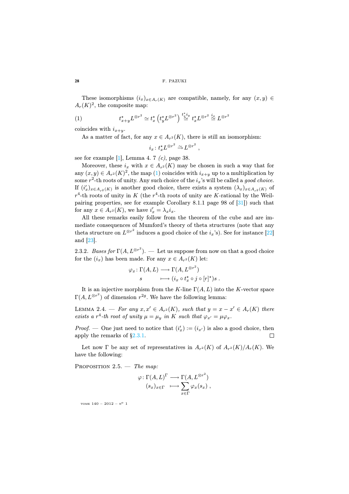These isomorphisms  $(i_x)_{x\in A_r(K)}$  are compatible, namely, for any  $(x, y) \in$  $A_r(K)^2$ , the composite map:

(1) 
$$
t_{x+y}^{\star}L^{\otimes r^2} \simeq t_x^{\star}\left(t_y^{\star}L^{\otimes r^2}\right) \stackrel{t_x^{\star}i_y}{\simeq} t_x^{\star}L^{\otimes r^2} \stackrel{i_x}{\simeq} L^{\otimes r^2}
$$

coincides with  $i_{x+y}$ .

As a matter of fact, for any  $x \in A_{r^2}(K)$ , there is still an isomorphism:

<span id="page-10-0"></span>
$$
i_x \colon t_x^{\star} L^{\otimes r^2} \xrightarrow{\sim} L^{\otimes r^2} ,
$$

see for example  $[1]$ , Lemma 4. 7  $(c)$ , page 38.

Moreover, these  $i_x$  with  $x \in A_{r^2}(K)$  may be chosen in such a way that for any  $(x, y) \in A_{r^2}(K)^2$ , the map [\(1\)](#page-10-0) coincides with  $i_{x+y}$  up to a multiplication by some  $r^2$ -th roots of unity. Any such choice of the  $i_x$ 's will be called a good choice. If  $(i'_x)_{x \in A_{r^2}(K)}$  is another good choice, there exists a system  $(\lambda_x)_{x \in A_{r^2}(K)}$  of  $r^4$ -th roots of unity in K (the  $r^4$ -th roots of unity are K-rational by the Weilpairing properties, see for example Corollary 8.1.1 page 98 of [\[31\]](#page-31-7)) such that for any  $x \in A_{r^2}(K)$ , we have  $i'_x = \lambda_x i_x$ .

All these remarks easily follow from the theorem of the cube and are immediate consequences of Mumford's theory of theta structures (note that any theta structure on  $L^{\otimes r^2}$  induces a good choice of the  $i_x$ 's). See for instance [\[22\]](#page-30-1) and [\[23\]](#page-30-16).

2.3.2. Bases for  $\Gamma(A, L^{\otimes r^2})$ . — Let us suppose from now on that a good choice for the  $(i_x)$  has been made. For any  $x \in A_{r^2}(K)$  let:

$$
\varphi_x \colon \Gamma(A, L) \longrightarrow \Gamma(A, L^{\otimes r^2})
$$
  

$$
s \longmapsto (i_x \circ t_x^* \circ j \circ [r]^*)s.
$$

It is an injective morphism from the K-line  $\Gamma(A, L)$  into the K-vector space  $\Gamma(A, L^{\otimes r^2})$  of dimension  $r^{2g}$ . We have the following lemma:

LEMMA 2.4. — For any  $x, x' \in A_{r^2}(K)$ , such that  $y = x - x' \in A_r(K)$  there exists a r<sup>4</sup>-th root of unity  $\mu = \mu_y$  in K such that  $\varphi_{x'} = \mu \varphi_x$ .

*Proof.* — One just need to notice that  $(i'_x) := (i_{x'})$  is also a good choice, then apply the remarks of [§2.3.1.](#page-9-1) П

Let now  $\Gamma$  be any set of representatives in  $A_{r^2}(K)$  of  $A_{r^2}(K)/A_r(K)$ . We have the following:

PROPOSITION  $2.5.$  — The map:

$$
\varphi: \Gamma(A, L)^{\Gamma} \longrightarrow \Gamma(A, L^{\otimes r^2})
$$

$$
(s_x)_{x \in \Gamma} \longmapsto \sum_{x \in \Gamma} \varphi_x(s_x),
$$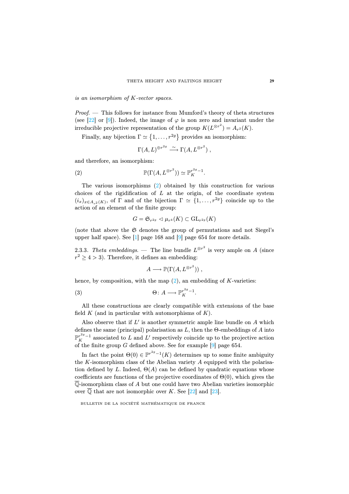is an isomorphism of K-vector spaces.

Proof. — This follows for instance from Mumford's theory of theta structures (see [\[22\]](#page-30-1) or [\[9\]](#page-30-0)). Indeed, the image of  $\varphi$  is non zero and invariant under the irreducible projective representation of the group  $K(L^{\otimes r^2}) = A_{r^2}(K)$ .

Finally, any bijection  $\Gamma \simeq \{1, \ldots, r^{2g}\}$  provides an isomorphism:

<span id="page-11-0"></span>
$$
\Gamma(A, L)^{\oplus r^{2g}} \xrightarrow{\sim} \Gamma(A, L^{\otimes r^2}),
$$

and therefore, an isomorphism:

(2) 
$$
\mathbb{P}(\Gamma(A, L^{\otimes r^2})) \simeq \mathbb{P}_K^{r^{2g}-1}.
$$

The various isomorphisms [\(2\)](#page-11-0) obtained by this construction for various choices of the rigidification of  $L$  at the origin, of the coordinate system  $(i_x)_{x\in A_{-2}(K)}$ , of  $\Gamma$  and of the bijection  $\Gamma \simeq \{1,\ldots,r^{2g}\}$  coincide up to the action of an element of the finite group:

$$
G=\mathfrak{S}_{r^{2g}}\lhd \mu_{r^4}(K)\subset \mathrm{GL}_{r^{2g}}(K)
$$

(note that above the  $\mathfrak S$  denotes the group of permutations and not Siegel's upper half space). See [\[1\]](#page-29-3) page 168 and [\[9\]](#page-30-0) page 654 for more details.

<span id="page-11-2"></span>2.3.3. Theta embeddings. — The line bundle  $L^{\otimes r^2}$  is very ample on A (since  $r^2 \geq 4 > 3$ ). Therefore, it defines an embedding:

<span id="page-11-1"></span>
$$
A \longrightarrow \mathbb{P}(\Gamma(A, L^{\otimes r^2}))
$$
,

hence, by composition, with the map  $(2)$ , an embedding of K-varieties:

(3) 
$$
\Theta: A \longrightarrow \mathbb{P}_{K}^{r^{2g}-1}.
$$

All these constructions are clearly compatible with extensions of the base field K (and in particular with automorphisms of  $K$ ).

Also observe that if  $L'$  is another symmetric ample line bundle on  $A$  which defines the same (principal) polarisation as  $L$ , then the  $\Theta$ -embeddings of  $A$  into  $\mathbb{P}^{r^{2g}-1}_K$  associated to L and L' respectively coincide up to the projective action of the finite group  $G$  defined above. See for example [\[9\]](#page-30-0) page 654.

In fact the point  $\Theta(0) \in \mathbb{P}^{r^{2g}-1}(K)$  determines up to some finite ambiguity the  $K$ -isomorphism class of the Abelian variety  $A$  equipped with the polarisation defined by L. Indeed,  $\Theta(A)$  can be defined by quadratic equations whose coefficients are functions of the projective coordinates of  $\Theta(0)$ , which gives the  $\overline{\mathbb{Q}}$ -isomorphism class of A but one could have two Abelian varieties isomorphic over  $\mathbb Q$  that are not isomorphic over K. See [\[22\]](#page-30-1) and [\[23\]](#page-30-16).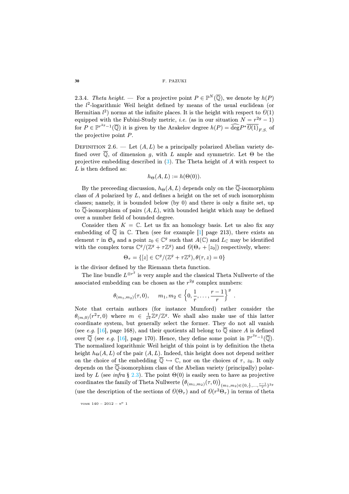2.3.4. Theta height. — For a projective point  $P \in \mathbb{P}^N(\overline{\mathbb{Q}})$ , we denote by  $h(P)$ the  $l^2$ -logarithmic Weil height defined by means of the usual euclidean (or Hermitian  $l^2$ ) norms at the infinite places. It is the height with respect to  $\mathcal{O}(1)$ equipped with the Fubini-Study metric, *i.e.* (as in our situation  $N = r^{2g} - 1$ ) for  $P \in \mathbb{P}^{r^{2g}-1}(\overline{\mathbb{Q}})$  it is given by the Arakelov degree  $h(P) = \widehat{\deg} P^* \overline{\mathcal{O}(1)}_{F,S}$  of the projective point  $P$ .

DEFINITION 2.6. — Let  $(A, L)$  be a principally polarized Abelian variety defined over  $\overline{Q}$ , of dimension g, with L ample and symmetric. Let  $\Theta$  be the projective embedding described in [\(3\)](#page-11-1). The Theta height of A with respect to  $L$  is then defined as:

$$
h_{\Theta}(A, L) := h(\Theta(0)).
$$

By the preceeding discussion,  $h_{\Theta}(A, L)$  depends only on the  $\overline{\mathbb{Q}}$ -isomorphism class of  $A$  polarized by  $L$ , and defines a height on the set of such isomorphism classes; namely, it is bounded below (by 0) and there is only a finite set, up to  $\overline{\mathbb{Q}}$ -isomorphism of pairs  $(A, L)$ , with bounded height which may be defined over a number field of bounded degree.

Consider then  $K = \mathbb{C}$ . Let us fix an homology basis. Let us also fix any embedding of  $\overline{Q}$  in C. Then (see for example [\[1\]](#page-29-3) page 213), there exists an element  $\tau$  in  $\mathfrak{S}_q$  and a point  $z_0 \in \mathbb{C}^g$  such that  $A(\mathbb{C})$  and  $L_{\mathbb{C}}$  may be identified with the complex torus  $\mathbb{C}^g/(\mathbb{Z}^g + \tau \mathbb{Z}^g)$  and  $\mathcal{O}(\Theta_\tau + [z_0])$  respectively, where:

$$
\Theta_{\tau} = \{ [z] \in \mathbb{C}^g/(\mathbb{Z}^g + \tau \mathbb{Z}^g), \theta(\tau, z) = 0 \}
$$

is the divisor defined by the Riemann theta function.

The line bundle  $L^{\otimes r^2}$  is very ample and the classical Theta Nullwerte of the associated embedding can be chosen as the  $r^{2g}$  complex numbers:

$$
\theta_{(m_1,m_2)}(\tau,0), \quad m_1,m_2 \in \left\{0,\frac{1}{r},\ldots,\frac{r-1}{r}\right\}^g.
$$

Note that certain authors (for instance Mumford) rather consider the  $\theta_{(m,0)}(r^2\tau,0)$  where  $m \in \frac{1}{r^2}\mathbb{Z}^g/\mathbb{Z}^g$ . We shall also make use of this latter coordinate system, but generally select the former. They do not all vanish (see e.g. [\[16\]](#page-30-13), page 168), and their quotients all belong to  $\overline{Q}$  since A is defined over  $\overline{\mathbb{Q}}$  (see e.g. [\[16\]](#page-30-13), page 170). Hence, they define some point in  $\mathbb{P}^{r^{2g}-1}(\overline{\mathbb{Q}})$ . The normalized logarithmic Weil height of this point is by definition the theta height  $h_{\Theta}(A, L)$  of the pair  $(A, L)$ . Indeed, this height does not depend neither on the choice of the embedding  $\overline{Q} \hookrightarrow \mathbb{C}$ , nor on the choices of  $\tau$ ,  $z_0$ . It only depends on the  $\overline{\mathbb{Q}}$ -isomorphism class of the Abelian variety (principally) polar-ized by L (see infra § [2.3\)](#page-9-0). The point  $\Theta(0)$  is easily seen to have as projective  ${\rm coordinates\ the\ family\ of\ The\ t\ and\ Nullwerte\ \left(\theta_{(m_1,m_2)}(\tau,0)\right)_{(m_1,m_2)\in\{0,\frac{1}{r},...,\frac{r-1}{r}\}^{2g}}$ (use the description of the sections of  $\mathcal{O}(\Theta_\tau)$  and of  $\mathcal{O}(r^2\Theta_\tau)$ ) in terms of theta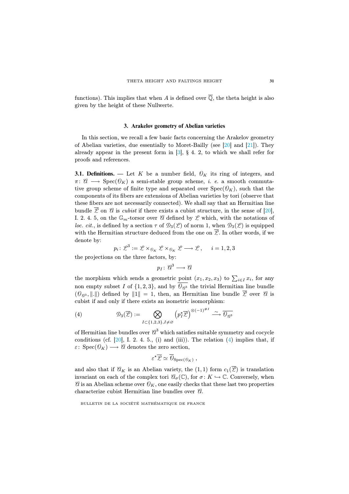functions). This implies that when A is defined over  $\overline{Q}$ , the theta height is also given by the height of these Nullwerte.

# **3. Arakelov geometry of Abelian varieties**

In this section, we recall a few basic facts concerning the Arakelov geometry of Abelian varieties, due essentially to Moret-Bailly (see [\[20\]](#page-30-5) and [\[21\]](#page-30-17)). They already appear in the present form in  $[3]$ , § 4. 2, to which we shall refer for proofs and references.

**3.1. Definitions.** — Let K be a number field,  $\mathcal{O}_K$  its ring of integers, and  $\pi: \mathscr{C} \longrightarrow \operatorname{Spec}(\mathscr{O}_K)$  a semi-stable group scheme, *i. e.* a smooth commutative group scheme of finite type and separated over  $Spec(\mathcal{O}_K)$ , such that the components of its fibers are extensions of Abelian varieties by tori (observe that these fibers are not necessarily connected). We shall say that an Hermitian line bundle  $\overline{Z}$  on  $\varnothing$  is *cubist* if there exists a cubist structure, in the sense of [\[20\]](#page-30-5), I. 2. 4. 5, on the  $\mathbb{G}_m$ -torsor over  $\mathscr{C}$  defined by  $\mathscr{L}$  which, with the notations of loc. cit., is defined by a section  $\tau$  of  $\mathcal{D}_3(\mathcal{L})$  of norm 1, when  $\mathcal{D}_3(\mathcal{L})$  is equipped with the Hermitian structure deduced from the one on  $\overline{\mathcal{L}}$ . In other words, if we denote by:

$$
p_i\colon \mathcal{L}^3:=\mathcal{L}\times_{\mathcal{O}_K}\mathcal{L}\times_{\mathcal{O}_K}\mathcal{L}\longrightarrow \mathcal{L}, \quad i=1,2,3
$$

the projections on the three factors, by:

$$
p_I\colon\mathscr{C}^3\longrightarrow\mathscr{C}
$$

the morphism which sends a geometric point  $(x_1, x_2, x_3)$  to  $\sum_{i\in I} x_i$ , for any non empty subset I of  $\{1,2,3\}$ , and by  $\mathcal{O}_{\mathcal{B}^3}$  the trivial Hermitian line bundle  $(\mathcal{O}_{\mathcal{B}^3},\Vert .\Vert)$  defined by  $\Vert 1\Vert = 1$ , then, an Hermitian line bundle  $\overline{\mathcal{L}}$  over  $\mathcal{C}$  is cubist if and only if there exists an isometric isomorphism:

<span id="page-13-0"></span>(4) 
$$
\mathcal{D}_3(\overline{\mathcal{L}}) := \bigotimes_{I \subset \{1,2,3\}, I \neq \varnothing} \left( p_I^{\star} \overline{\mathcal{L}} \right)^{\otimes (-1)^{\#I}} \stackrel{\sim}{\longrightarrow} \overline{\theta_{\varnothing^3}}
$$

of Hermitian line bundles over  $\mathcal{C}^3$  which satisfies suitable symmetry and cocycle conditions (cf.  $[20]$ , I. 2. 4. 5., (i) and (iii)). The relation  $(4)$  implies that, if  $\varepsilon$ : Spec $(\mathcal{O}_K) \longrightarrow \mathcal{O}$  denotes the zero section,

$$
\varepsilon^{\star}\overline{\mathcal{L}} \simeq \overline{\theta}_{\text{Spec}(\theta_K)},
$$

and also that if  $\mathscr{C}_K$  is an Abelian variety, the  $(1, 1)$  form  $c_1(\overline{\mathscr{L}})$  is translation invariant on each of the complex tori  $\mathcal{C}_{\sigma}(\mathbb{C})$ , for  $\sigma: K \hookrightarrow \mathbb{C}$ . Conversely, when  $\mathscr{C}$  is an Abelian scheme over  $\mathscr{O}_K$ , one easily checks that these last two properties characterize cubist Hermitian line bundles over  $\mathcal{C}$ .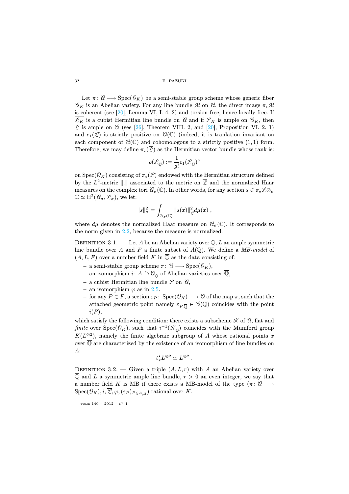#### **32** F. PAZUKI

Let  $\pi: \mathscr{C} \longrightarrow \text{Spec}(\mathscr{O}_K)$  be a semi-stable group scheme whose generic fiber  $\mathscr{C}_K$  is an Abelian variety. For any line bundle M on  $\mathscr{C}_k$ , the direct image  $\pi_{\star} \mathscr{M}$ is coherent (see [\[20\]](#page-30-5), Lemma VI, I. 4. 2) and torsion free, hence locally free. If  $\overline{\mathcal{L}_K}$  is a cubist Hermitian line bundle on  $\mathcal{U}$  and if  $\mathcal{L}_K$  is ample on  $\mathcal{U}_K$ , then  $\mathscr L$  is ample on  $\mathscr C$  (see [\[26\]](#page-31-6), Theorem VIII. 2, and [\[20\]](#page-30-5), Proposition VI. 2. 1) and  $c_1(\mathcal{L})$  is strictly positive on  $\mathcal{C}(\mathbb{C})$  (indeed, it is translation invariant on each component of  $\mathcal{C}(\mathbb{C})$  and cohomologous to a strictly positive  $(1, 1)$  form. Therefore, we may define  $\pi_*(\overline{Z})$  as the Hermitian vector bundle whose rank is:

$$
\rho(\mathscr{L}_{\overline{\mathbb{Q}}}) := \frac{1}{g!} c_1(\mathscr{L}_{\overline{\mathbb{Q}}})^g
$$

on Spec( $\mathcal{O}_K$ ) consisting of  $\pi_*(\mathcal{L})$  endowed with the Hermitian structure defined by the  $L^2$ -metric  $\|\cdot\|$  associated to the metric on  $\overline{\mathscr{L}}$  and the normalized Haar measures on the complex tori  $\mathcal{C}_{\sigma}(\mathbb{C})$ . In other words, for any section  $s \in \pi_* \mathcal{L} \otimes_{\sigma}$  $\mathbb{C} \simeq H^2(\mathscr{C}_{\sigma}, \mathscr{L}_{\sigma}),$  we let:

$$
||s||^2_\sigma = \int_{\mathcal{C}_\sigma(\mathbb{C})} ||s(x)||^2_{\mathcal{L}} d\mu(x) ,
$$

where  $d\mu$  denotes the normalized Haar measure on  $\mathcal{C}_{\sigma}(\mathbb{C})$ . It corresponds to the norm given in [2.2,](#page-8-0) because the measure is normalized.

DEFINITION 3.1. — Let A be an Abelian variety over  $\overline{Q}$ , L an ample symmetric line bundle over A and F a finite subset of  $A(\overline{\mathbb{Q}})$ . We define a MB-model of  $(A, L, F)$  over a number field K in  $\mathbb Q$  as the data consisting of:

- **–** a semi-stable group scheme  $\pi: \mathscr{C} \longrightarrow \text{Spec}(\mathscr{O}_K)$ ,
- **–** an isomorphism <sup>i</sup>: <sup>A</sup> <sup>→</sup><sup>∼</sup> A<sup>Q</sup> of Abelian varieties over <sup>Q</sup>,
- a cubist Hermitian line bundle  $\overline{\mathcal{L}}$  on  $\mathcal{C}$ ,
- $-$  an isomorphism  $\varphi$  as in [2.5.](#page-0-0)
- **–** for any  $P \in F$ , a section  $\varepsilon_P$ : Spec $(\mathcal{O}_K)$  →  $\mathcal{O}_K$  of the map  $\pi$ , such that the attached geometric point namely  $\varepsilon_{P,\overline{Q}} \in \mathcal{U}(\overline{Q})$  coincides with the point  $i(P)$ ,

which satisfy the following condition: there exists a subscheme  $K$  of  $\mathcal{C}_k$ , flat and finite over  $Spec(\mathcal{O}_K)$ , such that  $i^{-1}(\mathcal{K}_{\overline{\mathbb{Q}}})$  coincides with the Mumford group  $K(L^{\otimes 2})$ , namely the finite algebraic subgroup of A whose rational points x over  $\overline{Q}$  are characterized by the existence of an isomorphism of line bundles on A:

$$
t_x^* L^{\otimes 2} \simeq L^{\otimes 2} .
$$

DEFINITION 3.2. — Given a triple  $(A, L, r)$  with A an Abelian variety over  $\overline{Q}$  and L a symmetric ample line bundle,  $r > 0$  an even integer, we say that a number field K is MB if there exists a MB-model of the type  $(\pi: \mathcal{U} \longrightarrow$  $Spec(\mathcal{O}_K), i, \overline{\mathcal{L}}, \varphi, (\varepsilon_P)_{P \in A_{r^2}})$  rational over K.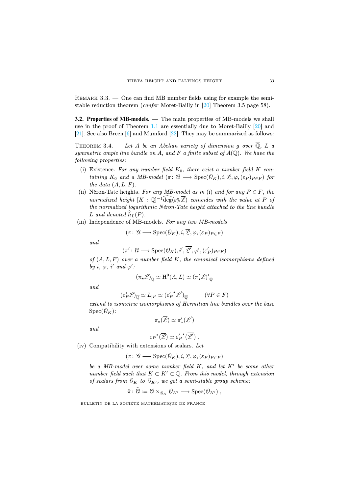$REMARK 3.3.$  — One can find MB number fields using for example the semistable reduction theorem (confer Moret-Bailly in [\[20\]](#page-30-5) Theorem 3.5 page 58).

<span id="page-15-0"></span>**3.2. Properties of MB-models. —** The main properties of MB-models we shall use in the proof of Theorem [1.1](#page-0-0) are essentially due to Moret-Bailly [\[20\]](#page-30-5) and [\[21\]](#page-30-17). See also Breen [\[6\]](#page-29-5) and Mumford [\[22\]](#page-30-1). They may be summarized as follows:

THEOREM 3.4. — Let A be an Abelian variety of dimension g over  $\overline{Q}$ , L a symmetric ample line bundle on A, and F a finite subset of  $A(\overline{\mathbb{Q}})$ . We have the following properties:

- (i) Existence. For any number field  $K_0$ , there exist a number field K containing  $K_0$  and a MB-model  $(\pi: \mathcal{C} \longrightarrow \text{Spec}(\mathcal{O}_K), i, \overline{\mathcal{L}}, \varphi, (\varepsilon_P)_{P \in F})$  for the data  $(A, L, F)$ .
- (ii) Néron-Tate heights. For any MB-model as in (i) and for any  $P \in F$ , the normalized height  $[K : \mathbb{Q}]^{-1}$ deg $(\varepsilon_P^{\star} \overline{\mathcal{L}})$  coincides with the value at P of the normalized logarithmic Néron-Tate height attached to the line bundle L and denoted  $h_L(P)$ .
- (iii) Independence of MB-models. For any two MB-models

$$
(\pi\colon \mathscr C\longrightarrow \operatorname{Spec}(\mathscr O_K),i,\overline{\mathscr L},\varphi,(\varepsilon_P)_{P\in F})
$$

and

$$
(\pi' : \mathcal{C} \longrightarrow \text{Spec}(\mathcal{O}_K), i', \overline{\mathcal{L}'}, \varphi', (\varepsilon'_P)_{P \in F})
$$

of  $(A, L, F)$  over a number field K, the canonical isomorphisms defined by i,  $\varphi$ , i' and  $\varphi'$ :

$$
(\pi_{\star}\mathcal{L})_{\overline{\mathbb{Q}}} \simeq \mathrm{H}^0(A, L) \simeq (\pi'_{\star}\mathcal{L})'_{\overline{\mathbb{Q}}}
$$

and

$$
(\varepsilon_P^{\star} \mathcal{L})_{\overline{\mathbb{Q}}} \simeq L_{|P} \simeq (\varepsilon_P^{\prime} {^{\star} \mathcal{L}}^{\prime})_{\overline{\mathbb{Q}}} \qquad (\forall P \in F)
$$

extend to isometric isomorphisms of Hermitian line bundles over the base  $Spec(\mathcal{O}_K)$ :

$$
\pi_{\star}(\overline{\mathscr{L}}) \simeq \pi_{\star}'(\overline{\mathscr{L}'})
$$

and

$$
\varepsilon_P^{\star}(\overline{\mathcal{L}}) \simeq \varepsilon_P^{\prime \star}(\overline{\mathcal{L}}').
$$

(iv) Compatibility with extensions of scalars. Let

$$
(\pi\colon \mathscr C\longrightarrow \operatorname{Spec}(\mathscr O_K),i,\overline{\mathscr L},\varphi,(\varepsilon_P)_{P\in F})
$$

be a MB-model over some number field  $K$ , and let  $K'$  be some other number field such that  $K \subset K' \subset \overline{\mathbb{Q}}$ . From this model, through extension of scalars from  $\mathcal{O}_K$  to  $\mathcal{O}_{K'}$ , we get a semi-stable group scheme:

$$
\tilde{\pi} \colon \tilde{\mathcal{U}} := \mathcal{U} \times_{\mathcal{O}_K} \mathcal{O}_{K'} \longrightarrow \text{Spec}(\mathcal{O}_{K'}) ,
$$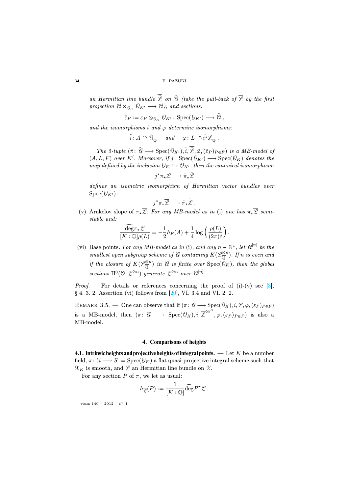an Hermitian line bundle  $\overline{\tilde{P}}$  on  $\tilde{H}$  (take the pull-back of  $\overline{P}$  by the first projection  $\mathcal{U} \times_{\mathcal{O}_K} \mathcal{O}_{K'} \longrightarrow \mathcal{U}$ , and sections:

$$
\tilde{\varepsilon}_P := \varepsilon_P \otimes_{\theta_K} \theta_{K'} : \operatorname{Spec}(\theta_{K'}) \longrightarrow \tilde{\theta},
$$

and the isomorphisms i and  $\varphi$  determine isomorphisms:

 $\tilde{i}: A \overset{\sim}{\rightarrow} \tilde{\theta}_{\overline{\mathbb{Q}}}$  and  $\tilde{\varphi}: L \overset{\sim}{\rightarrow} \tilde{i^*} \mathscr{L}_{\overline{\mathbb{Q}}}$ .

The 5-tuple  $(\tilde{\pi} : \tilde{\mathcal{U}} \longrightarrow \text{Spec}(\mathcal{O}_{K'}), \tilde{i}, \overline{\tilde{\mathcal{L}}}, \tilde{\varphi}, (\tilde{\varepsilon}_P)_{P \in F})$  is a MB-model of  $(A, L, F)$  over K'. Moreover, if  $j: Spec(\mathcal{O}_{K'}) \longrightarrow Spec(\mathcal{O}_{K})$  denotes the map defined by the inclusion  $\mathcal{O}_K \hookrightarrow \mathcal{O}_{K'}$ , then the canonical isomorphism:

$$
j^{\star}\pi_{\star}\mathcal{L}\longrightarrow \tilde{\pi}_{\star}\tilde{\mathcal{L}}
$$

defines an isometric isomorphism of Hermitian vector bundles over  $Spec(\mathcal{O}_{K'})$ :

$$
j^{\star}\pi_{\star}\overline{\mathcal{L}} \longrightarrow \tilde{\pi}_{\star}\overline{\tilde{\mathcal{L}}}.
$$

(v) Arakelov slope of  $\pi_{\star}\overline{\mathcal{L}}$ . For any MB-model as in (i) one has  $\pi_{\star}\overline{\mathcal{L}}$  semistable and:

$$
\frac{\widehat{\deg}\pi_{\star}\overline{\mathcal{L}}}{[K:\mathbb{Q}]\rho(L)} = -\frac{1}{2}h_F(A) + \frac{1}{4}\log\left(\frac{\rho(L)}{(2\pi)^g}\right).
$$

(vi) Base points. For any MB-model as in (i), and any  $n \in \mathbb{N}^*$ , let  $\mathcal{C}^{[n]}$  be the smallest open subgroup scheme of  $\mathscr A$  containing  $K(\mathscr L_{\overline{\mathbb Q}}^{\otimes n})$ . If  $n$  is even and if the closure of  $K(\mathcal{L}_{\overline{\mathbb{Q}}}^{\otimes n})$  in  $\mathscr{C}$  is finite over  $\mathrm{Spec}(\mathscr{O}_K)$ , then the global sections  $\mathrm{H}^{0}(\mathcal{C},\mathcal{L}^{\otimes n})$  generate  $\mathcal{L}^{\otimes n}$  over  $\mathcal{C}^{[n]}$ .

*Proof.* — For details or references concerning the proof of  $(i)-(v)$  see [\[3\]](#page-29-4), § 4. 3. 2. Assertion (vi) follows from [\[20\]](#page-30-5), VI. 3.4 and VI. 2. 2. П

REMARK 3.5. — One can observe that if  $(\pi: \mathcal{U} \longrightarrow \text{Spec}(\mathcal{O}_K), i, \overline{\mathcal{L}}, \varphi, (\varepsilon_P)_{P \in F})$ is a MB-model, then  $(\pi: \mathcal{U} \longrightarrow \text{Spec}(\mathcal{O}_K), i, \overline{\mathcal{Z}}^{\otimes r^2}, \varphi, (\varepsilon_P)_{P \in F})$  is also a MB-model.

# **4. Comparisons of heights**

**4.1. Intrinsicheightsandprojectiveheightsofintegralpoints. —** Let K be a number field,  $\pi: \mathcal{X} \longrightarrow S := \text{Spec}(\mathcal{O}_K)$  a flat quasi-projective integral scheme such that  $\mathcal{X}_K$  is smooth, and  $\overline{\mathcal{L}}$  an Hermitian line bundle on  $\mathcal{X}$ .

For any section  $P$  of  $\pi$ , we let as usual:

$$
h_{\overline{\mathcal{L}}}(P):=\frac{1}{[K:\mathbb{Q}]}\widehat{\deg}P^{\star}\overline{\mathcal{L}}\ .
$$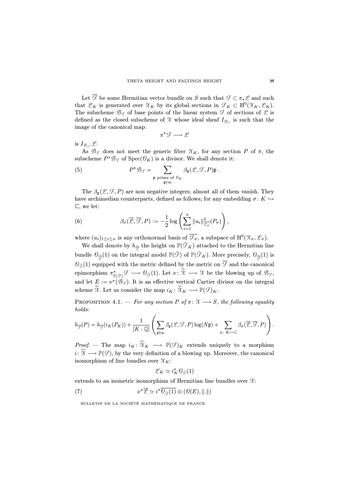Let  $\overline{\mathcal{F}}$  be some Hermitian vector bundle on S such that  $\mathcal{F} \subset \pi_* \mathcal{L}$  and such that  $\mathcal{L}_K$  is generated over  $\mathcal{X}_K$  by its global sections in  $\mathcal{F}_K \subset H^0(\mathcal{X}_K, \mathcal{L}_K)$ . The subscheme  $\mathscr{B}_{\mathscr{F}}$  of base points of the linear system  $\mathscr{F}$  of sections of  $\mathscr{L}$  is defined as the closed subscheme of X whose ideal sheaf  $I_{\mathcal{B}_{\alpha}}$  is such that the image of the canonical map:

<span id="page-17-1"></span>
$$
\pi^{\star}\mathcal{F}\longrightarrow\mathcal{L}
$$

is  $I_{\mathcal{B}_{\alpha}}.\mathcal{L}.$ 

As  $\mathcal{B}_{\mathcal{F}}$  does not meet the generic fiber  $\mathcal{X}_K$ , for any section P of  $\pi$ , the subscheme  $P^* \mathcal{B}_{\mathcal{F}}$  of  $Spec(\mathcal{O}_K)$  is a divisor. We shall denote it:

(5) 
$$
P^{\star}\mathcal{B}_{\mathcal{G}} = \sum_{\substack{\mathfrak{p} \text{ prime of } \mathcal{O}_{K} \\ \mathfrak{p} \nmid \infty}} \beta_{\mathfrak{p}}(\mathcal{L}, \mathcal{F}, P) \mathfrak{p}.
$$

The  $\beta_{p}(\mathcal{L}, \mathcal{F}, P)$  are non negative integers; almost all of them vanish. They have archimedian counterparts, defined as follows; for any embedding  $\sigma: K \hookrightarrow$ C, we let:

<span id="page-17-2"></span>(6) 
$$
\beta_{\sigma}(\overline{\mathcal{L}}, \overline{\mathcal{F}}, P) := -\frac{1}{2}\log\left(\sum_{i=1}^{n} ||u_i||_{\overline{\mathcal{L}}_{\sigma}}^2(P_{\sigma})\right),
$$

where  $(u_i)_{1 \leq i \leq n}$  is any orthonormal basis of  $\overline{\mathcal{F}_{\sigma}}$ , a subspace of  $\mathrm{H}^0(\mathcal{X}_{\sigma}, \mathcal{L}_{\sigma})$ .

We shall denote by  $h_{\check{\overline{\mathcal{F}}}}$  the height on  $\mathbb{P}(\check{\mathcal{F}}_K)$  attached to the Hermitian line bundle  $\mathcal{O}_{\breve{\mathcal{F}}}(1)$  on the integral model  $\mathbb{P}(\breve{\mathcal{F}})$  of  $\mathbb{P}(\breve{\mathcal{F}}_K)$ . More precisely,  $\mathcal{O}_{\breve{\mathcal{F}}}(1)$  is  $\mathcal{O}_{\tilde{\mathcal{F}}}(1)$  equipped with the metric defined by the metric on  $\overline{\mathcal{F}}$  and the canonical epimorphism  $\pi_{\mathbb{P}(\check{\mathcal{F}})}^{\star}\mathcal{F} \longrightarrow \mathcal{O}_{\check{\mathcal{F}}}(1)$ . Let  $\nu \colon \mathcal{X} \longrightarrow \mathcal{X}$  be the blowing up of  $\mathcal{B}_{\mathcal{F}},$ and let  $E := \nu^*(\mathcal{B}_{\mathcal{F}})$ . It is an effective vertical Cartier divisor on the integral scheme  $\widetilde{X}$ . Let us consider the map  $i_K : \widetilde{X}_K \longrightarrow \mathbb{P}(\mathcal{F})_K$ .

PROPOSITION 4.1. — For any section P of  $\pi: \mathcal{X} \longrightarrow S$ , the following equality holds:

$$
h_{\overline{\mathscr{L}}}(P) = h_{\overline{\mathscr{F}}}(i_K(P_K)) + \frac{1}{[K:\mathbb{Q}]} \left( \sum_{\mathfrak{p} \nmid \infty} \beta_{\mathfrak{p}}(\mathscr{L}, \mathscr{F}, P) \log(N\mathfrak{p}) + \sum_{\sigma \colon K \hookrightarrow \mathbb{C}} \beta_{\sigma}(\overline{\mathscr{L}}, \overline{\mathscr{F}}, P) \right).
$$

*Proof.* — The map  $i_K : \widetilde{X}_K \longrightarrow \mathbb{P}(\mathcal{F})_K$  extends uniquely to a morphism  $i: \widetilde{\mathcal{X}} \longrightarrow \mathbb{P}(\mathcal{F})$ , by the very definition of a blowing up. Moreover, the canonical isomorphism of line bundles over  $\mathcal{X}_K$ :

<span id="page-17-0"></span>
$$
\mathcal{L}_K \simeq i_K^* \mathcal{O}_{\check{\mathcal{F}}}(1)
$$

extends to an isometric isomorphism of Hermitian line bundles over  $\mathcal{X}$ :

(7) 
$$
\nu^{\star}\overline{\mathcal{L}} \simeq i^{\star}\overline{\theta_{\tilde{\mathcal{F}}}(1)} \otimes (\mathcal{O}(E), ||.||)
$$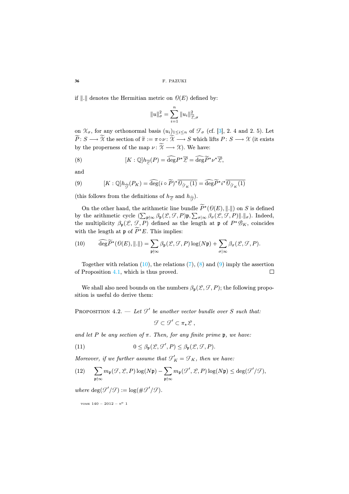if  $\|.\|$  denotes the Hermitian metric on  $\mathcal{O}(E)$  defined by:

$$
||u||_{\sigma}^2 = \sum_{i=1}^n ||u_i||_{\mathcal{L}, \sigma}^2
$$

on  $\mathcal{X}_{\sigma}$ , for any orthonormal basis  $(u_i)_{1\leq i\leq n}$  of  $\mathcal{F}_{\sigma}$  (cf. [\[3\]](#page-29-4), 2. 4 and 2. 5). Let  $\widetilde{P}: S \longrightarrow \mathcal{X}$  the section of  $\widetilde{\pi} := \pi \circ \nu : \mathcal{X} \longrightarrow S$  which lifts  $P: S \longrightarrow \mathcal{X}$  (it exists by the properness of the map  $\nu : \widetilde{X} \longrightarrow \mathcal{X}$ . We have:

<span id="page-18-1"></span>(8) 
$$
[K:\mathbb{Q}]h_{\overline{\mathcal{L}}}(P) = \widehat{\deg}P^{\star}\overline{\mathcal{L}} = \widehat{\deg}\widetilde{P}^{\star}\nu^{\star}\overline{\mathcal{L}},
$$

and

<span id="page-18-2"></span>(9) 
$$
[K:\mathbb{Q}]h_{\widetilde{\mathcal{J}}}(P_K) = \widehat{\deg}(i \circ \widetilde{P})^{\star}\overline{\theta_{\widetilde{\mathcal{J}}_K}(1)} = \widehat{\deg}\widetilde{P}^{\star}i^{\star}\overline{\theta_{\widetilde{\mathcal{J}}_K}(1)}
$$

(this follows from the definitions of  $h_{\overline{\mathscr{L}}}$  and  $h_{\overline{\mathscr{L}}}$ ).

On the other hand, the arithmetic line bundle  $P^{\star}(\mathcal{D}(E), \|\cdot\|)$  on S is defined by the arithmetic cycle  $(\sum_{\mathfrak{p} \nmid \infty} \beta_{\mathfrak{p}}(\mathcal{L}, \mathcal{F}, P) \mathfrak{p}, \sum_{\sigma | \infty} \beta_{\sigma}(\mathcal{L}, \mathcal{F}, P) \|.\|_{\sigma}).$  Indeed, the multiplicity  $\beta_{p}(\mathcal{L}, \mathcal{F}, P)$  defined as the length at p of  $P^*\mathcal{B}_K$ , coincides with the length at  $\mathfrak p$  of  $P^{\star}E$ . This implies:

<span id="page-18-0"></span>(10) 
$$
\widehat{\deg}\widetilde{P}^{\star}(\mathcal{O}(E),\|.\|) = \sum_{\mathfrak{p} \nmid \infty} \beta_{\mathfrak{p}}(\mathcal{L},\mathcal{F},P) \log(N\mathfrak{p}) + \sum_{\sigma \mid \infty} \beta_{\sigma}(\mathcal{L},\mathcal{F},P).
$$

Together with relation  $(10)$ , the relations  $(7)$ ,  $(8)$  and  $(9)$  imply the assertion of Proposition [4.1,](#page-0-0) which is thus proved. □

We shall also need bounds on the numbers  $\beta_{p}(\mathcal{L}, \mathcal{F}, P)$ ; the following proposition is useful do derive them:

PROPOSITION 4.2. — Let  $\mathcal{F}'$  be another vector bundle over S such that:

<span id="page-18-3"></span> $\mathcal{F} \subset \mathcal{F}' \subset \pi_* \mathcal{L}$ 

and let P be any section of  $\pi$ . Then, for any finite prime p, we have:

(11) 
$$
0 \leq \beta_{\mathfrak{p}}(\mathcal{L}, \mathcal{F}', P) \leq \beta_{\mathfrak{p}}(\mathcal{L}, \mathcal{F}, P).
$$

Moreover, if we further assume that  $\mathcal{F}'_K = \mathcal{F}_K$ , then we have:

<span id="page-18-4"></span>(12) 
$$
\sum_{\mathfrak{p}\nmid\infty} m_{\mathfrak{p}}(\mathcal{F}, \mathcal{L}, P) \log(N\mathfrak{p}) - \sum_{\mathfrak{p}\nmid\infty} m_{\mathfrak{p}}(\mathcal{F}', \mathcal{L}, P) \log(N\mathfrak{p}) \leq \deg(\mathcal{F}'/\mathcal{F}),
$$

where  $\deg(\mathcal{F}'/\mathcal{F}) := \log(\#\mathcal{F}'/\mathcal{F})$ .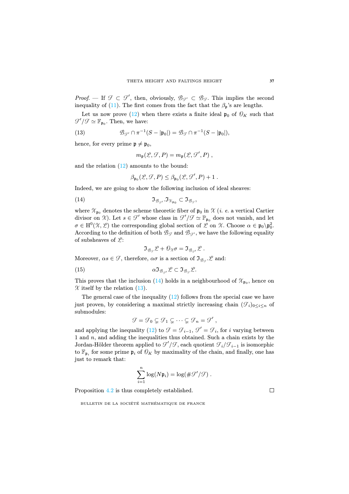*Proof.* — If  $\mathcal{F} \subset \mathcal{F}'$ , then, obviously,  $\mathcal{B}_{\mathcal{F}'} \subset \mathcal{B}_{\mathcal{F}}$ . This implies the second inequality of [\(11\)](#page-18-3). The first comes from the fact that the  $\beta_p$ 's are lengths.

Let us now prove [\(12\)](#page-18-4) when there exists a finite ideal  $\mathfrak{p}_0$  of  $\mathcal{O}_K$  such that  $\mathcal{F}'/\mathcal{F} \simeq \mathbb{F}_{\mathfrak{p}_0}$ . Then, we have:

(13) 
$$
\mathscr{B}_{\mathscr{G}'} \cap \pi^{-1}(S - |\mathfrak{p}_0|) = \mathscr{B}_{\mathscr{G}} \cap \pi^{-1}(S - |\mathfrak{p}_0|),
$$

hence, for every prime  $p \neq p_0$ ,

<span id="page-19-1"></span>
$$
m_{\mathfrak{p}}(\mathcal{L}, \mathcal{F}, P) = m_{\mathfrak{p}}(\mathcal{L}, \mathcal{F}', P) ,
$$

and the relation  $(12)$  amounts to the bound:

<span id="page-19-0"></span> $\beta_{\mathfrak{p}_0}(\mathcal{L}, \mathcal{F}, P) \leq \beta_{\mathfrak{p}_0}(\mathcal{L}, \mathcal{F}', P) + 1.$ 

Indeed, we are going to show the following inclusion of ideal sheaves:

(14) I<sup>B</sup> <sup>F</sup> ! .I<sup>X</sup> <sup>p</sup><sup>0</sup> ⊂ I<sup>B</sup> <sup>F</sup> ,

where  $\mathcal{X}_{\mathbf{p}_0}$  denotes the scheme theoretic fiber of  $\mathfrak{p}_0$  in  $\mathcal{X}$  (*i. e.* a vertical Cartier divisor on  $\mathcal{X}$ ). Let  $s \in \mathcal{F}'$  whose class in  $\mathcal{F}'/\mathcal{F} \simeq \mathbb{P}_{\mathfrak{p}_0}$  does not vanish, and let  $\sigma \in H^0(\mathcal{X}, \mathcal{L})$  the corresponding global section of  $\mathcal L$  on  $\mathcal X$ . Choose  $\alpha \in \mathfrak p_0 \backslash \mathfrak p_0^2$ . According to the definition of both  $\mathcal{B}_{\mathcal{F}}$  and  $\mathcal{B}_{\mathcal{F}'}$ , we have the following equality of subsheaves of  $\mathcal{L}$ :

 $\mathfrak{I}_{\mathcal{B}_{\alpha}}\mathcal{L} + \mathcal{O}_{\mathcal{X}}\sigma = \mathfrak{I}_{\mathcal{B}_{\alpha}}\mathcal{L}.$ 

Moreover,  $\alpha s \in \mathcal{F}$ , therefore,  $\alpha \sigma$  is a section of  $\mathfrak{I}_{\mathcal{B}_{\alpha}} \mathcal{L}$  and:

(15) 
$$
\alpha \mathfrak{I}_{\mathscr{B}_{\mathscr{G}}}\mathscr{L} \subset \mathfrak{I}_{\mathscr{B}_{\mathscr{G}}}\mathscr{L}.
$$

This proves that the inclusion [\(14\)](#page-19-0) holds in a neighbourhood of  $\mathcal{X}_{p_0}$ , hence on  $\chi$  itself by the relation [\(13\)](#page-19-1).

The general case of the inequality [\(12\)](#page-18-4) follows from the special case we have just proven, by considering a maximal strictly increasing chain  $(\mathcal{F}_i)_{0\leq i\leq n}$  of submodules:

 $\mathcal{F} = \mathcal{F}_0 \subsetneq \mathcal{F}_1 \subsetneq \cdots \subsetneq \mathcal{F}_n = \mathcal{F}'$ 

and applying the inequality [\(12\)](#page-18-4) to  $\mathcal{F} = \mathcal{F}_{i-1}$ ,  $\mathcal{F}' = \mathcal{F}_i$ , for i varying between 1 and  $n$ , and adding the inequalities thus obtained. Such a chain exists by the Jordan-Hölder theorem applied to  $\mathcal{F}'/\mathcal{F}$ , each quotient  $\mathcal{F}_i/\mathcal{F}_{i-1}$  is isomorphic to  $\mathbb{F}_{p_i}$  for some prime  $p_i$  of  $\mathcal{O}_K$  by maximality of the chain, and finally, one has just to remark that:

$$
\sum_{i=1}^n \log(N\mathfrak{p}_i) = \log(\#\mathcal{F}'/\mathcal{F})\ .
$$

Proposition [4.2](#page-0-0) is thus completely established.

BULLETIN DE LA SOCIÉTÉ MATHÉMATIQUE DE FRANCE

 $\Box$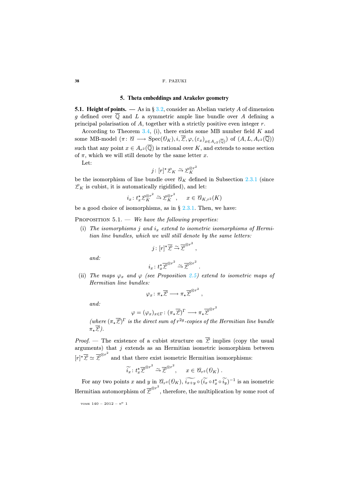# **5. Theta embeddings and Arakelov geometry**

**5.1. Height of points.** — As in  $\S 3.2$ , consider an Abelian variety A of dimension g defined over  $\overline{Q}$  and L a symmetric ample line bundle over A defining a principal polarisation of A, together with a strictly positive even integer  $r$ .

According to Theorem [3.4,](#page-0-0) (i), there exists some MB number field  $K$  and some MB-model  $(\pi: \mathscr{C} \longrightarrow \text{Spec}(\mathscr{O}_K), i, \overline{\mathscr{L}}, \varphi, (\varepsilon_x)_{x \in A_{-2}(\overline{\mathbb{Q}})})$  of  $(A, L, A_{r^2}(\overline{\mathbb{Q}}))$ such that any point  $x \in A_{r^2}(\overline{\mathbb{Q}})$  is rational over K, and extends to some section of  $\pi$ , which we will still denote by the same letter x.

Let:

$$
j\colon [r]^\star \mathscr{L}_K \xrightarrow{\sim} \mathscr{L}_K^{\otimes r^2}
$$

be the isomorphism of line bundle over  $\mathscr{U}_K$  defined in Subsection [2.3.1](#page-9-1) (since  $\mathcal{L}_K$  is cubist, it is automatically rigidified), and let:

$$
i_x \colon t_x^* \mathscr{L}_K^{\otimes r^2} \xrightarrow{\sim} \mathscr{L}_K^{\otimes r^2}, \qquad x \in \mathscr{C}_{K, r^2}(K)
$$

be a good choice of isomorphisms, as in  $\S 2.3.1$ . Then, we have:

PROPOSITION  $5.1.$  — We have the following properties:

(i) The isomorphisms j and  $i_x$  extend to isometric isomorphisms of Hermitian line bundles, which we will still denote by the same letters:

$$
j: [r]^{\star} \overline{\mathcal{L}} \overset{\sim}{\rightarrow} \overline{\mathcal{L}}^{\otimes r^2}
$$
,

and:

$$
i_x \colon t_x^{\star} \overline{\mathcal{L}}^{\otimes r^2} \xrightarrow{\sim} \overline{\mathcal{L}}^{\otimes r^2}.
$$

(ii) The maps  $\varphi_x$  and  $\varphi$  (see Proposition [2.5\)](#page-0-0) extend to isometric maps of Hermitian line bundles:

$$
\varphi_x \colon \pi_\star \overline{\mathcal{L}} \longrightarrow \pi_\star \overline{\mathcal{L}}^{\otimes r^2} ,
$$

and:

$$
\varphi = (\varphi_x)_{x \in \Gamma} : (\pi_\star \overline{\mathcal{L}})^{\Gamma} \longrightarrow \pi_\star \overline{\mathcal{L}}^{\otimes r^2}
$$

(where  $(\pi_{\star}\overline{\mathcal{L}})^{\Gamma}$  is the direct sum of  $r^{2g}$ -copies of the Hermitian line bundle  $\pi_{\star}\overline{\mathcal{L}}$ ).

*Proof.* — The existence of a cubist structure on  $\overline{\mathscr{L}}$  implies (copy the usual arguments) that  $j$  extends as an Hermitian isometric isomorphism between  $[r]^{\star}\overline{\mathcal{L}} \simeq \overline{\mathcal{L}}^{\otimes r^2}$  and that there exist isometric Hermitian isomorphisms:

$$
\widetilde{i_x} : t_x^* \overline{\mathcal{L}}^{\otimes r^2} \xrightarrow{\sim} \overline{\mathcal{L}}^{\otimes r^2}, \quad x \in \mathcal{C}_{r^2}(\mathcal{O}_K) .
$$

For any two points x and y in  $\mathcal{C}_{r^2}(\mathcal{O}_K)$ ,  $\widetilde{i_{x+y}} \circ (\widetilde{i_x} \circ t_x^* \circ \widetilde{i_y})^{-1}$  is an isometric Hermitian automorphism of  $\overline{\mathcal{L}}^{\otimes r^2}$ , therefore, the multiplication by some root of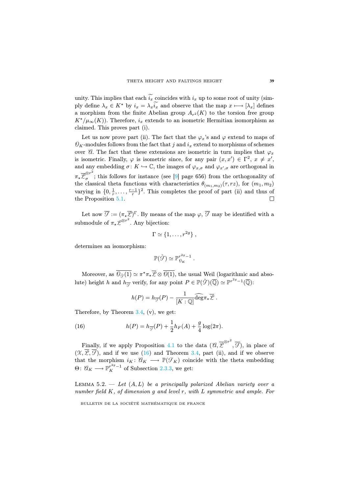unity. This implies that each  $i_x$  coincides with  $i_x$  up to some root of unity (simply define  $\lambda_x \in K^*$  by  $i_x = \lambda_x i_x$  and observe that the map  $x \mapsto [\lambda_x]$  defines a morphism from the finite Abelian group  $A_{r^2}(K)$  to the torsion free group  $K^*/\mu_\infty(K)$ ). Therefore,  $i_x$  extends to an isometric Hermitian isomorphism as claimed. This proves part (i).

Let us now prove part (ii). The fact that the  $\varphi_x$ 's and  $\varphi$  extend to maps of  $\mathcal{O}_K$ -modules follows from the fact that j and  $i_x$  extend to morphisms of schemes over  $\mathscr{C}$ . The fact that these extensions are isometric in turn implies that  $\varphi_x$ is isometric. Finally,  $\varphi$  is isometric since, for any pair  $(x, x') \in \Gamma^2$ ,  $x \neq x'$ , and any embedding  $\sigma: K \hookrightarrow \mathbb{C}$ , the images of  $\varphi_{x,\sigma}$  and  $\varphi_{x',\sigma}$  are orthogonal in  $\pi_{\star}\overline{\mathcal{L}}_{\sigma}^{\otimes r^2}$ ; this follows for instance (see [\[9\]](#page-30-0) page 656) from the orthogonality of the classical theta functions with characteristics  $\theta_{(m_1,m_2)}(\tau, rz)$ , for  $(m_1, m_2)$ varying in  $\{0, \frac{1}{r}, \ldots, \frac{r-1}{r}\}^2$ . This completes the proof of part (ii) and thus of the Proposition [5.1.](#page-0-0)

Let now  $\overline{\mathcal{F}} := (\pi_* \overline{\mathcal{L}})^{\Gamma}$ . By means of the map  $\varphi$ ,  $\overline{\mathcal{F}}$  may be identified with a submodule of  $\pi_{\star}\mathcal{L}^{\otimes r^2}$ . Any bijection:

$$
\Gamma \simeq \{1,\ldots,r^{2g}\}\ ,
$$

determines an isomorphism:

$$
\mathbb{P}(\check{\mathcal{F}})\simeq \mathbb{P}^{r^{2g}-1}_{\mathcal{O}_K}\;.
$$

Moreover, as  $\overline{\theta_{\sigma}(1)} \simeq \pi^* \pi_* \overline{\mathcal{L}} \otimes \overline{\theta(1)}$ , the usual Weil (logarithmic and absolute) height h and  $h_{\overline{\mathcal{G}}}$  verify, for any point  $P \in \mathbb{P}(\check{\mathcal{G}})(\overline{\mathbb{Q}}) \simeq \mathbb{P}^{r^{2g}-1}(\overline{\mathbb{Q}})$ :

<span id="page-21-0"></span>
$$
h(P) = h_{\overline{\mathcal{F}}}(P) - \frac{1}{[K:\mathbb{Q}]} \widehat{\deg} \pi_{\star} \overline{\mathcal{L}}.
$$

Therefore, by Theorem  $3.4$ ,  $(v)$ , we get:

(16) 
$$
h(P) = h_{\overline{\mathcal{F}}}(P) + \frac{1}{2}h_F(A) + \frac{g}{4}\log(2\pi).
$$

Finally, if we apply Proposition [4.1](#page-0-0) to the data  $(\mathscr{C}, \overline{\mathscr{L}}^{\otimes r^2}, \overline{\mathscr{F}})$ , in place of  $(X, \overline{Z}, \overline{S})$ , and if we use [\(16\)](#page-21-0) and Theorem [3.4,](#page-0-0) part (ii), and if we observe that the morphism  $i_K : \mathscr{C}_K \longrightarrow \mathbb{P}(\mathscr{F}_K)$  coincide with the theta embedding  $\Theta: \mathscr{C}_K \longrightarrow \mathbb{P}^{r^{2g}-1}_K$  of Subsection [2.3.3,](#page-11-2) we get:

LEMMA 5.2.  $-$  Let  $(A, L)$  be a principally polarized Abelian variety over a number field K, of dimension g and level r, with L symmetric and ample. For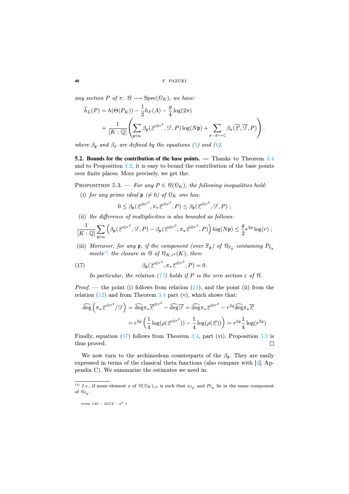any section P of  $\pi: \mathcal{C} \longrightarrow \text{Spec}(\mathcal{O}_K)$ , we have:

$$
\widehat{h}_L(P) = h(\Theta(P_K)) - \frac{1}{2}h_F(A) - \frac{g}{4}\log(2\pi) \n+ \frac{1}{[K:\mathbb{Q}]} \left( \sum_{\mathfrak{p} \nmid \infty} \beta_{\mathfrak{p}}(\mathcal{L}^{\otimes r^2}, \mathcal{G}, P) \log(N\mathfrak{p}) + \sum_{\sigma \colon k \hookrightarrow \mathbb{C}} \beta_{\sigma}(\overline{\mathcal{L}}, \overline{\mathcal{G}}, P) \right).
$$

where  $\beta_p$  and  $\beta_\sigma$  are defined by the equations [\(5\)](#page-17-1) and [\(6\)](#page-17-2).

**5.2. Bounds for the contribution of the base points. —** Thanks to Theorem [3.4](#page-0-0) and to Proposition [4.2,](#page-0-0) it is easy to bound the contribution of the base points over finite places. More precisely, we get the:

PROPOSITION 5.3. — For any  $P \in \mathcal{C}(\mathcal{O}_K)$ , the following inequalities hold:

(i) for any prime ideal  $\mathfrak{p} \neq 0$  of  $\mathcal{O}_K$  one has:

$$
0 \leq \beta_{\mathfrak{p}}(\mathcal{L}^{\otimes r^2}, \pi_{\star} \mathcal{L}^{\otimes r^2}, P) \leq \beta_{\mathfrak{p}}(\mathcal{L}^{\otimes r^2}, \mathcal{F}, P) ;
$$

(ii) the difference of multiplicities is also bounded as follows:

$$
\frac{1}{[K:\mathbb{Q}]} \sum_{\mathfrak{p} \nmid \infty} \left( \beta_{\mathfrak{p}}(\mathscr{L}^{\otimes r^2}, \mathcal{F}, P) - \beta_{\mathfrak{p}}(\mathscr{L}^{\otimes r^2}, \pi_{\star} \mathscr{L}^{\otimes r^2}, P) \right) \log(N\mathfrak{p}) \leq \frac{g}{2} r^{2g} \log(r) ;
$$

(iii) Moreover, for any  $\mathfrak p$ , if the component (over  $\mathbb F_{\mathfrak p}$ ) of  $\mathcal C_{\mathbb F_n}$  containing  $P_{\mathbb F_n}$ meets<sup>[\(3\)](#page-22-0)</sup> the closure in  $\mathcal{A}$  of  $\mathcal{A}_{K,r^2}(K)$ , then:

(17) 
$$
\beta_{\mathfrak{p}}(\mathcal{L}^{\otimes r^2}, \pi_{\star}\mathcal{L}^{\otimes r^2}, P) = 0.
$$

<span id="page-22-1"></span>In particular, the relation [\(17\)](#page-22-1) holds if P is the zero section  $\varepsilon$  of  $\vartheta$ .

*Proof.* — the point (i) follows from relation  $(11)$ , and the point (ii) from the relation  $(12)$  and from Theorem [3.4](#page-0-0) part  $(v)$ , which shows that:

$$
\widehat{\deg}\left(\pi_{\star}\mathcal{L}^{\otimes r^2}/\mathcal{F}\right) = \widehat{\deg}\pi_{\star}\overline{\mathcal{L}}^{\otimes r^2} - \widehat{\deg}\overline{\mathcal{F}} = \widehat{\deg}\pi_{\star}\mathcal{L}^{\otimes r^2} - r^{2g}\widehat{\deg}\pi_{\star}\overline{\mathcal{L}}
$$

$$
= r^{2g}\left(\frac{1}{4}\log(\rho(\mathcal{L}^{\otimes r^2})) - \frac{1}{4}\log(\rho(\mathcal{L}))\right) = r^{2g}\frac{1}{4}\log(r^{2g})
$$

Finally, equation [\(17\)](#page-22-1) follows from Theorem [3.4,](#page-0-0) part (vi). Proposition [5.3](#page-0-0) is  $\Box$ thus proved.

We now turn to the archimedean counterparts of the  $\beta_{p}$ . They are easily expressed in terms of the classical theta functions (also compare with  $[4]$ , Appendix C). We summarize the estimates we need in:

$$
\text{some } 140\, -\, 2012\, -\, \text{n}^o\ 1
$$

<span id="page-22-0"></span><sup>&</sup>lt;sup>(3)</sup> *I.e.*, if some element *x* of  $\mathcal{U}(\mathcal{O}_K)_{r^2}$  is such that  $x_{\mathbb{F}_p}$  and  $P_{\mathbb{F}_p}$  lie in the same component of  $\mathscr{C}_{\mathbb{F}_p}$ .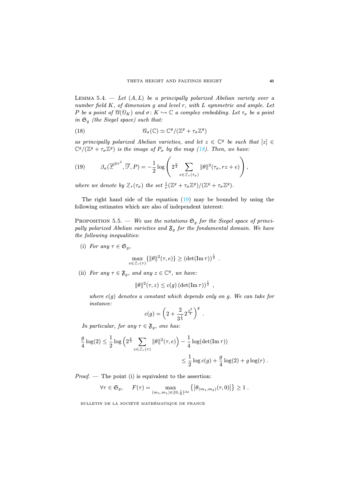LEMMA 5.4.  $-$  Let  $(A, L)$  be a principally polarized Abelian variety over a number field  $K$ , of dimension  $g$  and level  $r$ , with  $L$  symmetric and ample. Let P be a point of  $\mathcal{C}(\mathcal{O}_K)$  and  $\sigma: K \hookrightarrow \mathbb{C}$  a complex embedding. Let  $\tau_{\sigma}$  be a point in  $\mathfrak{S}_q$  (the Siegel space) such that:

<span id="page-23-0"></span>(18) 
$$
\mathcal{C}_{\sigma}(\mathbb{C}) \simeq \mathbb{C}^{g}/(\mathbb{Z}^{g} + \tau_{\sigma} \mathbb{Z}^{g})
$$

as principally polarized Abelian varieties, and let  $z \in \mathbb{C}^g$  be such that  $[z] \in$  $\mathbb{C}^g/(\mathbb{Z}^g + \tau_\sigma \mathbb{Z}^g)$  is the image of  $P_\sigma$  by the map [\(18\)](#page-23-0). Then, we have:

<span id="page-23-1"></span>(19) 
$$
\beta_{\sigma}(\overline{\mathcal{L}}^{\otimes r^2}, \overline{\mathcal{F}}, P) = -\frac{1}{2}\log\left(2^{\frac{g}{2}}\sum_{e\in\mathcal{Z}_r(\tau_{\sigma})}\|\theta\|^2(\tau_{\sigma}, rz+e)\right),
$$

where we denote by  $\mathcal{Z}_r(\tau_{\sigma})$  the set  $\frac{1}{r}(\mathbb{Z}^g + \tau_{\sigma} \mathbb{Z}^g)/(\mathbb{Z}^g + \tau_{\sigma} \mathbb{Z}^g)$ .

The right hand side of the equation  $(19)$  may be bounded by using the following estimates which are also of independent interest:

PROPOSITION 5.5. — We use the notations  $\mathfrak{S}_g$  for the Siegel space of principally polarized Abelian varieties and  $\mathfrak{F}_q$  for the fondamental domain. We have the following inequalities:

(i) For any  $\tau \in \mathfrak{S}_a$ ,

$$
\max_{e \in \mathcal{Z}_r(\tau)} \{ ||\theta||^2(\tau, e) \} \geq (\det(\mathrm{Im} \,\tau))^{\frac{1}{2}}.
$$

(ii) For any  $\tau \in \mathfrak{F}_q$ , and any  $z \in \mathbb{C}^g$ , we have:

 $\|\theta\|^2(\tau, z) \le c(g) \left(\det(\mathrm{Im}\,\tau)\right)^{\frac{1}{2}},$ 

where  $c(g)$  denotes a constant which depends only on g. We can take for instance:

$$
c(g) = \left(2 + \frac{2}{3^{\frac{1}{4}}} 2^{\frac{g^3}{4}}\right)^g.
$$

In particular, for any  $\tau \in \mathfrak{F}_q$ , one has:

$$
\frac{g}{4} \log(2) \le \frac{1}{2} \log \left( 2^{\frac{g}{2}} \sum_{e \in \mathcal{Z}_r(\tau)} ||\theta||^2(\tau, e) \right) - \frac{1}{4} \log(\det(\mathrm{Im}\,\tau))
$$
  

$$
\le \frac{1}{2} \log c(g) + \frac{g}{4} \log(2) + g \log(r).
$$

*Proof.* — The point (i) is equivalent to the assertion:

$$
\forall \tau \in \mathfrak{S}_g, \quad F(\tau) = \max_{(m_1, m_1) \in \{0, \frac{1}{2}\}^{2g}} \left\{ \left| \theta_{(m_1, m_2)}(\tau, 0) \right| \right\} \ge 1.
$$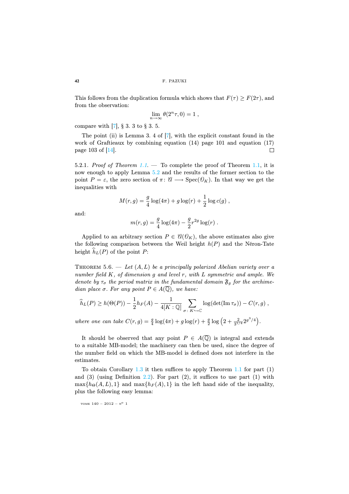This follows from the duplication formula which shows that  $F(\tau) \geq F(2\tau)$ , and from the observation:

$$
\lim_{n\to\infty}\theta(2^n\tau,0)=1,
$$

compare with [\[7\]](#page-30-12), § 3. 3 to § 3. 5.

The point (ii) is Lemma 3. 4 of  $[7]$ , with the explicit constant found in the work of Graftieaux by combining equation (14) page 101 and equation (17) page 103 of [\[14\]](#page-30-8).  $\Box$ 

<span id="page-24-0"></span>5.2.1. Proof of Theorem [1.1](#page-0-0). — To complete the proof of Theorem [1.1,](#page-0-0) it is now enough to apply Lemma [5.2](#page-0-0) and the results of the former section to the point  $P = \varepsilon$ , the zero section of  $\pi: \mathcal{C} \longrightarrow \text{Spec}(\mathcal{O}_K)$ . In that way we get the inequalities with

$$
M(r,g) = \frac{g}{4}\log(4\pi) + g\log(r) + \frac{1}{2}\log c(g) ,
$$

and:

$$
m(r,g) = \frac{g}{4} \log(4\pi) - \frac{g}{2} r^{2g} \log(r) .
$$

Applied to an arbitrary section  $P \in \mathcal{C}(\mathcal{O}_K)$ , the above estimates also give the following comparison between the Weil height  $h(P)$  and the Néron-Tate height  $h_L(P)$  of the point  $P$ :

THEOREM 5.6. — Let  $(A, L)$  be a principally polarized Abelian variety over a number field  $K$ , of dimension  $g$  and level  $r$ , with  $L$  symmetric and ample. We denote by  $\tau_{\sigma}$  the period matrix in the fundamental domain  $\mathfrak{F}_{q}$  for the archimedian place  $\sigma$ . For any point  $P \in A(\overline{Q})$ , we have:

$$
\widehat{h}_L(P) \ge h(\Theta(P)) - \frac{1}{2}h_F(A) - \frac{1}{4[K:\mathbb{Q}]} \sum_{\sigma \colon K \hookrightarrow \mathbb{C}} \log(\det(\mathrm{Im}\,\tau_{\sigma})) - C(r,g) ,
$$

where one can take  $C(r, g) = \frac{g}{4} \log(4\pi) + g \log(r) + \frac{g}{2} \log(2 + \frac{2}{3^{1/4}} 2^{g^3/4}).$ 

It should be observed that any point  $P \in A(\overline{\mathbb{Q}})$  is integral and extends to a suitable MB-model; the machinery can then be used, since the degree of the number field on which the MB-model is defined does not interfere in the estimates.

To obtain Corollary  $1.3$  it then suffices to apply Theorem  $1.1$  for part  $(1)$ and (3) (using Definition [2.2\)](#page-0-0). For part  $(2)$ , it suffices to use part  $(1)$  with  $\max\{h_{\Theta}(A, L), 1\}$  and  $\max\{h_F(A), 1\}$  in the left hand side of the inequality, plus the following easy lemma: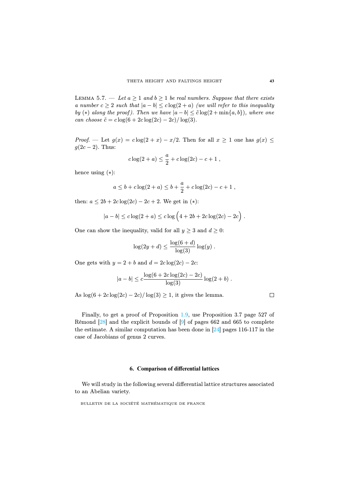LEMMA 5.7. — Let  $a \geq 1$  and  $b \geq 1$  be real numbers. Suppose that there exists a number  $c > 2$  such that  $|a - b| < c \log(2 + a)$  (we will refer to this inequality by (\*) along the proof). Then we have  $|a-b| \leq \tilde{c} \log(2 + \min\{a, b\})$ , where one can choose  $\tilde{c} = c \log(6 + 2c \log(2c) - 2c) / \log(3)$ .

*Proof.* — Let  $g(x) = c \log(2 + x) - x/2$ . Then for all  $x \ge 1$  one has  $g(x) \le$  $g(2c-2)$ . Thus:

$$
c \log(2 + a) \leq \frac{a}{2} + c \log(2c) - c + 1
$$
,

hence using  $(*)$ :

$$
a \le b + c \log(2 + a) \le b + \frac{a}{2} + c \log(2c) - c + 1
$$
,

then:  $a \le 2b + 2c \log(2c) - 2c + 2$ . We get in (\*):

$$
|a - b| \le c \log(2 + a) \le c \log (4 + 2b + 2c \log(2c) - 2c).
$$

One can show the inequality, valid for all  $y \geq 3$  and  $d \geq 0$ :

$$
\log(2y+d) \le \frac{\log(6+d)}{\log(3)}\log(y).
$$

One gets with  $y = 2 + b$  and  $d = 2c \log(2c) - 2c$ :

$$
|a - b| \leq c \frac{\log(6 + 2c \log(2c) - 2c)}{\log(3)} \log(2 + b) .
$$

As  $\log(6 + 2c \log(2c) - 2c)/\log(3) \ge 1$ , it gives the lemma.

Finally, to get a proof of Proposition [1.9,](#page-0-0) use Proposition 3.7 page 527 of Rémond [\[28\]](#page-31-0) and the explicit bounds of [\[9\]](#page-30-0) of pages 662 and 665 to complete the estimate. A similar computation has been done in [\[24\]](#page-30-10) pages 116-117 in the case of Jacobians of genus 2 curves.

#### **6. Comparison of differential lattices**

<span id="page-25-0"></span>We will study in the following several differential lattice structures associated to an Abelian variety.

BULLETIN DE LA SOCIÉTÉ MATHÉMATIQUE DE FRANCE

 $\Box$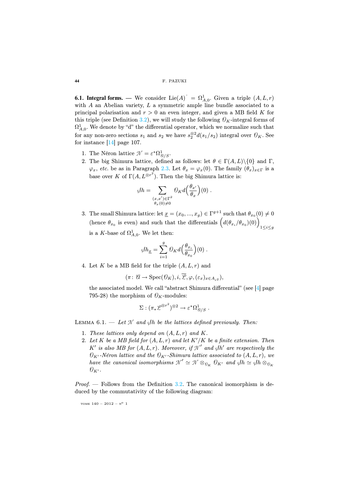**6.1. Integral forms.** — We consider  $\text{Lie}(A)^{\check{}} = \Omega^1_{A,0}$ . Given a triple  $(A, L, r)$ with  $A$  an Abelian variety,  $L$  a symmetric ample line bundle associated to a principal polarisation and  $r > 0$  an even integer, and given a MB field K for this triple (see Definition [3.2\)](#page-0-0), we will study the following  $\mathcal{O}_K$ -integral forms of  $\Omega_{A,0}^1$ . We denote by "d" the differential operator, which we normalize such that for any non-zero sections  $s_1$  and  $s_2$  we have  $s_2^{\otimes 2}d(s_1/s_2)$  integral over  $\mathcal{O}_K$ . See for instance  $[14]$  page 107.

- 1. The Néron lattice  $\mathcal{N} = \varepsilon^* \Omega^1_{\mathcal{U}/S}$ .
- 2. The big Shimura lattice, defined as follows: let  $\theta \in \Gamma(A, L) \setminus \{0\}$  and  $\Gamma$ ,  $\varphi_x$ , etc. be as in Paragraph [2.3.](#page-9-0) Let  $\theta_x = \varphi_x(0)$ . The family  $(\theta_x)_{x \in \Gamma}$  is a base over K of  $\Gamma(A, L^{\otimes r^2})$ . Then the big Shimura lattice is:

$$
\varphi h = \sum_{\substack{(x,x') \in \Gamma^2 \\ \theta_x(0) \neq 0}} \mathcal{O}_K d\left(\frac{\theta_{x'}}{\theta_x}\right)(0) .
$$

3. The small Shimura lattice: let  $\underline{x} = (x_0, ..., x_q) \in \Gamma^{g+1}$  such that  $\theta_{x_0}(0) \neq 0$ (hence  $\theta_{x_0}$  is even) and such that the differentials  $(d(\theta_{x_i}/\theta_{x_0})(0))\Big)_{1\leq i\leq g}$ is a K-base of  $\Omega^1_{A,0}$ . We let then:

$$
\phi h_{\underline{x}} = \sum_{i=1}^{g} \mathcal{O}_K d\Big(\frac{\theta_{x_i}}{\theta_{x_0}}\Big)(0) .
$$

4. Let K be a MB field for the triple  $(A, L, r)$  and

$$
(\pi\colon \mathscr{C}\to \operatorname{Spec}(\mathscr{O}_{K}), i,\overline{\mathscr{L}}, \varphi,(\varepsilon_{x})_{x\in A_{r^{2}}}),
$$

the associated model. We call "abstract Shimura differential" (see [\[4\]](#page-29-1) page 795-28) the morphism of  $\mathcal{O}_K$ -modules:

$$
\Sigma: (\pi_* \mathcal{L}^{\otimes r^2})^{\otimes 2} \to \varepsilon^* \Omega^1_{\mathcal{U}/S} .
$$

LEMMA 6.1.  $-$  Let N and  $\mathcal{J}h$  be the lattices defined previously. Then:

- 1. These lattices only depend on  $(A, L, r)$  and K.
- 2. Let  $K$  be a MB field for  $(A, L, r)$  and let  $K'/K$  be a finite extension. Then K' is also MB for  $(A, L, r)$ . Moreover, if  $\mathcal{N}'$  and  $\mathcal{J}h'$  are respectively the  $\mathcal{O}_{K'}$ -Néron lattice and the  $\mathcal{O}_{K'}$ -Shimura lattice associated to  $(A, L, r)$ , we have the canonical isomorphisms  $\mathcal{N}' \simeq \mathcal{N} \otimes_{\mathcal{O}_K} \mathcal{O}_{K'}$  and  $\mathcal{J}h \simeq \mathcal{J}h \otimes_{\mathcal{O}_K}$  $\mathcal{O}_{K'}$ .

*Proof.* — Follows from the Definition  $3.2$ . The canonical isomorphism is deduced by the commutativity of the following diagram: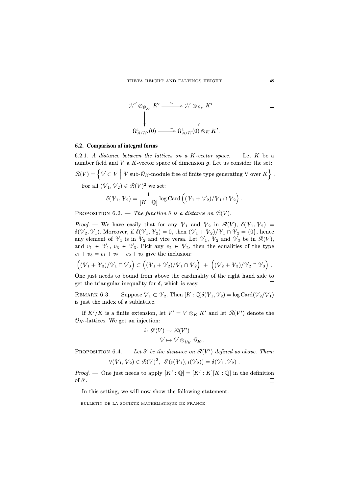$$
\mathcal{N}' \otimes_{\theta_{K'}} K' \xrightarrow{\sim} \mathcal{N} \otimes_{\theta_{K}} K' \qquad \Box
$$
  
\n
$$
\downarrow \qquad \qquad \downarrow
$$
  
\n
$$
\Omega^1_{A/K'}(0) \xrightarrow{\sim} \Omega^1_{A/K}(0) \otimes_K K'.
$$

# **6.2. Comparison of integral forms**

<span id="page-27-0"></span>6.2.1. A distance between the lattices on a K-vector space.  $-$  Let K be a number field and  $V$  a  $K$ -vector space of dimension  $g$ . Let us consider the set:  $\mathcal{R}(V) = \left\{ \mathcal{V} \subset V \Bigm| \mathcal{V} \text{ sub-}\mathcal{O}_K \text{-module free of finite type generating } V \text{ over } K \right\}.$ For all  $(\mathcal{V}_1, \mathcal{V}_2) \in \mathcal{R}(V)^2$  we set:  $\delta(\mathcal{V}_1, \mathcal{V}_2) = \frac{1}{[K:\mathbb{Q}]} \log \mathrm{Card} \left( (\mathcal{V}_1 + \mathcal{V}_2) / \mathcal{V}_1 \cap \mathcal{V}_2 \right).$ 

PROPOSITION 6.2. — The function  $\delta$  is a distance on  $\mathcal{R}(V)$ .

*Proof.* — We have easily that for any  $\mathcal{V}_1$  and  $\mathcal{V}_2$  in  $\mathcal{R}(V)$ ,  $\delta(\mathcal{V}_1, \mathcal{V}_2)$  =  $\delta(\mathcal{V}_2, \mathcal{V}_1)$ . Moreover, if  $\delta(\mathcal{V}_1, \mathcal{V}_2)=0$ , then  $(\mathcal{V}_1 + \mathcal{V}_2)/\mathcal{V}_1 \cap \mathcal{V}_2 = \{0\}$ , hence any element of  $\mathcal{V}_1$  is in  $\mathcal{V}_2$  and vice versa. Let  $\mathcal{V}_1$ ,  $\mathcal{V}_2$  and  $\mathcal{V}_3$  be in  $\mathcal{R}(V)$ , and  $v_1 \in \mathcal{V}_1$ ,  $v_3 \in \mathcal{V}_3$ . Pick any  $v_2 \in \mathcal{V}_2$ , then the equalities of the type  $v_1 + v_3 = v_1 + v_2 - v_2 + v_3$  give the inclusion:

$$
((\mathcal{V}_1 + \mathcal{V}_3)/\mathcal{V}_1 \cap \mathcal{V}_3) \subset ((\mathcal{V}_1 + \mathcal{V}_2)/\mathcal{V}_1 \cap \mathcal{V}_2) + ((\mathcal{V}_2 + \mathcal{V}_3)/\mathcal{V}_2 \cap \mathcal{V}_3).
$$

One just needs to bound from above the cardinality of the right hand side to get the triangular inequality for  $\delta$ , which is easy. П

REMARK 6.3. — Suppose  $\mathcal{V}_1 \subset \mathcal{V}_2$ . Then  $[K : \mathbb{Q}] \delta(\mathcal{V}_1, \mathcal{V}_2) = \log \text{Card}(\mathcal{V}_2/\mathcal{V}_1)$ is just the index of a sublattice.

If  $K'/K$  is a finite extension, let  $V' = V \otimes_K K'$  and let  $\mathcal{R}(V')$  denote the  $\mathcal{O}_{K'}$ -lattices. We get an injection:

$$
i: \mathcal{R}(V) \to \mathcal{R}(V')
$$

$$
\mathcal{V} \mapsto \mathcal{V} \otimes_{\mathcal{O}_K} \mathcal{O}_{K'}.
$$

PROPOSITION 6.4. — Let  $\delta'$  be the distance on  $\mathcal{R}(V')$  defined as above. Then:

$$
\forall (\mathcal{V}_1, \mathcal{V}_2) \in \mathcal{R}(V)^2, \quad \delta'(i(\mathcal{V}_1), i(\mathcal{V}_2)) = \delta(\mathcal{V}_1, \mathcal{V}_2).
$$

*Proof.* — One just needs to apply  $[K':\mathbb{Q}]=[K':K][K:\mathbb{Q}]$  in the definition of  $\delta'$ .  $\Box$ 

In this setting, we will now show the following statement: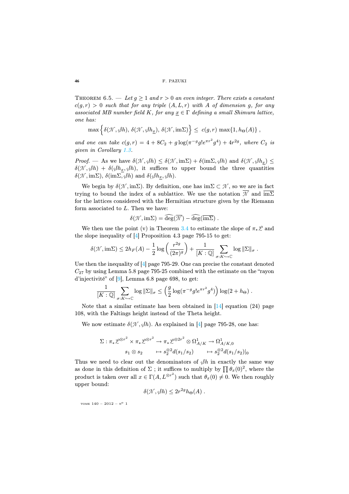#### **46** F. PAZUKI

THEOREM 6.5. — Let  $q \geq 1$  and  $r > 0$  an even integer. There exists a constant  $c(q, r) > 0$  such that for any triple  $(A, L, r)$  with A of dimension q, for any associated MB number field K, for any  $\underline{x} \in \Gamma$  defining a small Shimura lattice, one has:

$$
\max \Big\{ \delta(\mathcal{N}, \beta h), \, \delta(\mathcal{N}, \beta h_{\underline{x}}), \, \delta(\mathcal{N}, \mathrm{im}\Sigma) \Big\} \leq c(g, r) \, \max \{1, h_{\Theta}(A)\} \ ,
$$

and one can take  $c(g,r) = 4 + 8C_2 + g \log(\pi^{-g} g! e^{\pi r^2} g^4) + 4r^{2g}$ , where  $C_2$  is given in Corollary [1.3.](#page-0-0)

*Proof.* — As we have  $\delta(\mathcal{N}, \phi h) \leq \delta(\mathcal{N}, \text{im}\Sigma) + \delta(\text{im}\Sigma, \phi h)$  and  $\delta(\mathcal{N}, \phi h_x) \leq$  $\delta(\mathcal{N}, \phi h) + \delta(\phi h_x, \phi h)$ , it suffices to upper bound the three quantities  $\delta(\mathcal{N}, \text{im}\Sigma), \, \delta(\text{im}\Sigma, \mathcal{J}h)$  and  $\delta(\mathcal{J}h_x, \mathcal{J}h)$ .

We begin by  $\delta(\mathcal{N}, \text{im}\Sigma)$ . By definition, one has  $\text{im}\Sigma \subset \mathcal{N}$ , so we are in fact trying to bound the index of a sublattice. We use the notation  $\overline{\mathcal{N}}$  and  $\overline{\text{im}\Sigma}$ for the lattices considered with the Hermitian structure given by the Riemann form associated to L. Then we have:

$$
\delta(\mathcal{N},\mathrm{im}\Sigma)=\widehat{\deg}(\overline{\mathcal{N}})-\widehat{\deg}(\overline{\mathrm{im}\Sigma})\ .
$$

We then use the point (v) in Theorem [3.4](#page-0-0) to estimate the slope of  $\pi_*\mathcal{L}$  and the slope inequality of [\[4\]](#page-29-1) Proposition 4.3 page 795-15 to get:

$$
\delta(\mathcal{N},\mathrm{im}\Sigma) \leq 2h_F(A) - \frac{1}{2}\log\left(\frac{r^{2g}}{(2\pi)^g}\right) + \frac{1}{[K:\mathbb{Q}]} \sum_{\sigma:K\hookrightarrow\mathbb{C}} \log \|\Sigma\|_{\sigma}.
$$

Use then the inequality of  $[4]$  page 795-29. One can precise the constant denoted  $C_{27}$  by using Lemma 5.8 page 795-25 combined with the estimate on the "rayon" d'injectivité" of [\[9\]](#page-30-0), Lemma 6.8 page 698, to get:

$$
\frac{1}{[K:\mathbb{Q}]} \sum_{\sigma: K \hookrightarrow \mathbb{C}} \log ||\Sigma||_{\sigma} \leq \left(\frac{g}{2} \log(\pi^{-g} g! e^{\pi r^2} g^4)\right) \log(2 + h_{\Theta}).
$$

Note that a similar estimate has been obtained in  $\left[14\right]$  equation (24) page 108, with the Faltings height instead of the Theta height.

We now estimate  $\delta(\mathcal{N}, \mathcal{J}h)$ . As explained in [\[4\]](#page-29-1) page 795-28, one has:

$$
\Sigma: \pi_* \mathcal{L}^{\otimes r^2} \times \pi_* \mathcal{L}^{\otimes r^2} \to \pi_* \mathcal{L}^{\otimes 2r^2} \otimes \Omega^1_{A/K} \to \Omega^1_{A/K,0}
$$
  

$$
s_1 \otimes s_2 \longrightarrow s_2^{\otimes 2} d(s_1/s_2) \longrightarrow s_2^{\otimes 2} d(s_1/s_2)|_0
$$

Thus we need to clear out the denominators of  $\beta h$  in exactly the same way as done in this definition of  $\Sigma$ ; it suffices to multiply by  $\prod \theta_x(0)^2$ , where the product is taken over all  $x \in \Gamma(A, L^{\otimes r^2})$  such that  $\theta_x(0) \neq 0$ . We then roughly upper bound:

$$
\delta(\mathcal{N}, \beta h) \leq 2r^{2g} h_{\Theta}(A) .
$$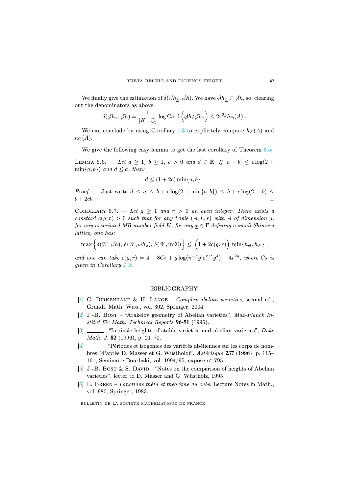We finally give the estimation of  $\delta(\partial h_x, \partial h)$ . We have  $\partial h_x \subset \partial h$ , so, clearing out the denominators as above:

$$
\delta(\mathscr{J}h_{\underline{x}},\mathscr{J}h) = \frac{1}{[K:\mathbb{Q}]} \log \mathrm{Card} \left( \mathscr{J}h/\mathscr{J}h_{\underline{x}} \right) \leq 2r^{2g}h_{\Theta}(A) .
$$

We can conclude by using Corollary [1.3](#page-0-0) to explicitely compare  $h_F(A)$  and  $h_{\Theta}(A)$ .  $\Box$ 

We give the following easy lemma to get the last corollary of Theorem  $6.5$ :

LEMMA 6.6. — Let  $a \geq 1$ ,  $b \geq 1$ ,  $c > 0$  and  $d \in \mathbb{R}$ . If  $|a - b| \leq c \log(2 +$  $\min\{a, b\}$  and  $d \le a$ , then:

$$
d \le (1+2c)\min\{a,b\} .
$$

Proof. — Just write  $d \le a \le b + c \log(2 + \min\{a, b\}) \le b + c \log(2 + b) \le$  $b + 2cb$ .

COROLLARY 6.7. — Let  $q \geq 1$  and  $r > 0$  an even integer. There exists a constant  $c(g, r) > 0$  such that for any triple  $(A, L, r)$  with A of dimension g, for any associated MB number field K, for any  $\underline{x} \in \Gamma$  defining a small Shimura lattice, one has:

$$
\max \Big\{ \delta(\mathcal{N}, \beta h),\, \delta(\mathcal{N}, \beta h_{\underline{x}}),\, \delta(\mathcal{N}, \mathrm{im}\Sigma) \Big\} \leq \ \Big( 1 + 2c(g,r) \Big) \, \min \{ h_{\Theta}, h_{F} \} \ ,
$$

and one can take  $c(g,r) = 4 + 8C_2 + g \log(\pi^{-g} g! e^{\pi r^2} g^4) + 4r^{2g}$ , where  $C_2$  is given in Corollary [1.3.](#page-0-0)

## BIBLIOGRAPHY

- <span id="page-29-3"></span>[\[1\]](http://smf.emath.fr/Publications/Bulletin/140/html/smf_bull_140_19-49.html#1) C. Birkenhake & H. Lange – Complex abelian varieties, second ed., Grundl. Math. Wiss., vol. 302, Springer, 2004.
- <span id="page-29-2"></span>[\[2\]](http://smf.emath.fr/Publications/Bulletin/140/html/smf_bull_140_19-49.html#2) J.-B. Bost – "Arakelov geometry of Abelian varieties", Max-Planck Institut für Math. Technical Reports **96-51** (1996).
- <span id="page-29-4"></span>[\[3\]](http://smf.emath.fr/Publications/Bulletin/140/html/smf_bull_140_19-49.html#3)  $\Box$ , "Intrinsic heights of stable varieties and abelian varieties", *Duke* Math. J. **82** (1996), p. 21–70.
- <span id="page-29-1"></span>[\[4\]](http://smf.emath.fr/Publications/Bulletin/140/html/smf_bull_140_19-49.html#4) , "Périodes et isogenies des variétés abéliennes sur les corps de nombres (d'après D. Masser et G. Wüstholz)", Astérisque **237** (1996), p. 115– 161, Séminaire Bourbaki, vol. 1994/95, exposé n° 795.
- <span id="page-29-0"></span>[\[5\]](http://smf.emath.fr/Publications/Bulletin/140/html/smf_bull_140_19-49.html#5) J.-B. Bost & S. DAVID – "Notes on the comparison of heights of Abelian varieties", letter to D. Masser and G. Wüstholz, 1995.
- <span id="page-29-5"></span>[6] L. Breen – Fonctions thêta et théorème du cube, Lecture Notes in Math., vol. 980, Springer, 1983.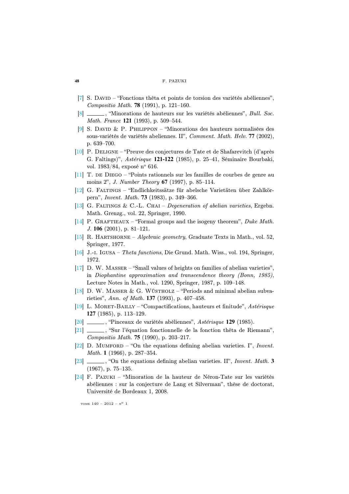- <span id="page-30-12"></span>[\[7\]](http://smf.emath.fr/Publications/Bulletin/140/html/smf_bull_140_19-49.html#7) S. David – "Fonctions thêta et points de torsion des variétés abéliennes", Compositio Math. **78** (1991), p. 121–160.
- <span id="page-30-9"></span>[\[8\]](http://smf.emath.fr/Publications/Bulletin/140/html/smf_bull_140_19-49.html#8) , "Minorations de hauteurs sur les variétés abéliennes", Bull. Soc. Math. France **121** (1993), p. 509–544.
- <span id="page-30-0"></span>[\[9\]](http://smf.emath.fr/Publications/Bulletin/140/html/smf_bull_140_19-49.html#9) S. DAVID & P. PHILIPPON – "Minorations des hauteurs normalisées des sous-variétés de variétés abeliennes. II", Comment. Math. Helv. **77** (2002), p. 639–700.
- <span id="page-30-15"></span>[\[10\]](http://smf.emath.fr/Publications/Bulletin/140/html/smf_bull_140_19-49.html#10) P. Deligne – "Preuve des conjectures de Tate et de Shafarevitch (d'après G. Faltings)", Astérisque **121-122** (1985), p. 25–41, Séminaire Bourbaki, vol. 1983/84, exposé n° 616.
- <span id="page-30-11"></span>[\[11\]](http://smf.emath.fr/Publications/Bulletin/140/html/smf_bull_140_19-49.html#11) T. de Diego – "Points rationnels sur les familles de courbes de genre au moins 2", J. Number Theory **67** (1997), p. 85–114.
- <span id="page-30-4"></span>[\[12\]](http://smf.emath.fr/Publications/Bulletin/140/html/smf_bull_140_19-49.html#12) G. Faltings – "Endlichkeitssätze für abelsche Varietäten über Zahlkörpern", Invent. Math. **73** (1983), p. 349–366.
- <span id="page-30-3"></span>[\[13\]](http://smf.emath.fr/Publications/Bulletin/140/html/smf_bull_140_19-49.html#13) G. Faltings & C.-L. Chai – Degeneration of abelian varieties, Ergebn. Math. Grenzg., vol. 22, Springer, 1990.
- <span id="page-30-8"></span>[\[14\]](http://smf.emath.fr/Publications/Bulletin/140/html/smf_bull_140_19-49.html#14) P. GRAFTIEAUX – "Formal groups and the isogeny theorem", Duke Math. J. **106** (2001), p. 81–121.
- <span id="page-30-14"></span>[\[15\]](http://smf.emath.fr/Publications/Bulletin/140/html/smf_bull_140_19-49.html#15) R. HARTSHORNE – Algebraic geometry, Graduate Texts in Math., vol. 52, Springer, 1977.
- <span id="page-30-13"></span>[\[16\]](http://smf.emath.fr/Publications/Bulletin/140/html/smf_bull_140_19-49.html#16) J.-i. Igusa – Theta functions, Die Grund. Math. Wiss., vol. 194, Springer, 1972.
- <span id="page-30-6"></span>[\[17\]](http://smf.emath.fr/Publications/Bulletin/140/html/smf_bull_140_19-49.html#17) D. W. Masser – "Small values of heights on families of abelian varieties", in Diophantine approximation and transcendence theory (Bonn, 1985), Lecture Notes in Math., vol. 1290, Springer, 1987, p. 109–148.
- <span id="page-30-7"></span>[\[18\]](http://smf.emath.fr/Publications/Bulletin/140/html/smf_bull_140_19-49.html#18) D. W. Masser & G. Wüstholz – "Periods and minimal abelian subvarieties", Ann. of Math. **137** (1993), p. 407–458.
- <span id="page-30-2"></span>[\[19\]](http://smf.emath.fr/Publications/Bulletin/140/html/smf_bull_140_19-49.html#19) L. Moret-Bailly – "Compactifications, hauteurs et finitude", Astérisque **127** (1985), p. 113–129.
- <span id="page-30-5"></span>[\[20\]](http://smf.emath.fr/Publications/Bulletin/140/html/smf_bull_140_19-49.html#20) , "Pinceaux de variétés abéliennes", Astérisque **129** (1985).
- <span id="page-30-17"></span>[\[21\]](http://smf.emath.fr/Publications/Bulletin/140/html/smf_bull_140_19-49.html#21)  $\frac{1}{\sqrt{21}}$ , "Sur l'équation fonctionnelle de la fonction thêta de Riemann", Compositio Math. **75** (1990), p. 203–217.
- <span id="page-30-1"></span>[\[22\]](http://smf.emath.fr/Publications/Bulletin/140/html/smf_bull_140_19-49.html#22) D. MUMFORD – "On the equations defining abelian varieties. I", Invent. Math. **1** (1966), p. 287–354.
- <span id="page-30-16"></span>[\[23\]](http://smf.emath.fr/Publications/Bulletin/140/html/smf_bull_140_19-49.html#23) , "On the equations defining abelian varieties. II", Invent. Math. **3** (1967), p. 75–135.
- <span id="page-30-10"></span>[\[24\]](http://smf.emath.fr/Publications/Bulletin/140/html/smf_bull_140_19-49.html#24) F. Pazuki – "Minoration de la hauteur de Néron-Tate sur les variétés abéliennes : sur la conjecture de Lang et Silverman", thèse de doctorat, Université de Bordeaux 1, 2008.